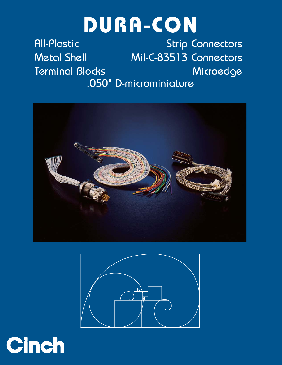# **DURA-CON**

[All-Plastic](#page-3-0) [Strip Connectors](#page-35-0) [Metal Shell](#page-7-0) [Mil-C-83513 Connectors](#page-18-0) [Terminal Blocks](#page-25-0) [Microedge](#page-31-0) .050" D-microminiature





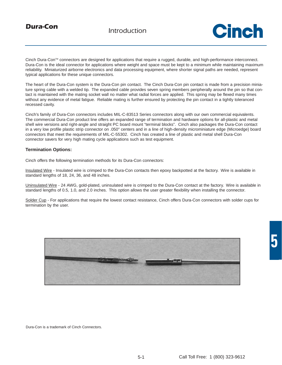

Cinch Dura-ConTM connectors are designed for applications that require a rugged, durable, and high-performance interconnect. Dura-Con is the ideal connector for applications where weight and space must be kept to a minimum while maintaining maximum reliability. Miniaturized airborne electronics and data processing equipment, where shorter signal paths are needed, represent typical applications for these unique connectors.

The heart of the Dura-Con system is the Dura-Con pin contact. The Cinch Dura-Con pin contact is made from a precision miniature spring cable with a welded tip. The expanded cable provides seven spring members peripherally around the pin so that contact is maintained with the mating socket wall no matter what radial forces are applied. This spring may be flexed many times without any evidence of metal fatigue. Reliable mating is further ensured by protecting the pin contact in a tightly toleranced recessed cavity.

Cinch's family of Dura-Con connectors includes MIL-C-83513 Series connectors along with our own commercial equivalents. The commercial Dura-Con product line offers an expanded range of termination and hardware options for all-plastic and metal shell wire versions and right-angle and straight PC board mount "terminal blocks". Cinch also packages the Dura-Con contact in a very low profile plastic strip connector on .050" centers and in a line of high-density microminiature edge (Microedge) board connectors that meet the requirements of MIL-C-55302. Cinch has created a line of plastic and metal shell Dura-Con connector savers for very high mating cycle applications such as test equipment.

#### **Termination Options:**

Cinch offers the following termination methods for its Dura-Con connectors:

Insulated Wire - Insulated wire is crimped to the Dura-Con contacts then epoxy backpotted at the factory. Wire is available in standard lengths of 18, 24, 36, and 48 inches.

Uninsulated Wire - 24 AWG, gold-plated, uninsulated wire is crimped to the Dura-Con contact at the factory. Wire is available in standard lengths of 0.5, 1.0, and 2.0 inches. This option allows the user greater flexibility when installing the connector.

Solder Cup - For applications that require the lowest contact resistance, Cinch offers Dura-Con connectors with solder cups for termination by the user.



Dura-Con is a trademark of Cinch Connectors.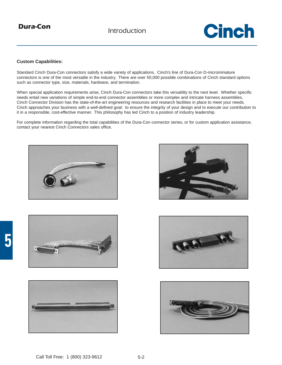*Dura-Con Introduction*

## Cinch

#### **Custom Capabilities:**

Standard Cinch Dura-Con connectors satisfy a wide variety of applications. Cinch's line of Dura-Con D-microminiature connectors is one of the most versatile in the industry. There are over 50,000 possible combinations of Cinch standard options such as connector type, size, materials, hardware, and termination.

When special application requirements arise, Cinch Dura-Con connectors take this versatility to the next level. Whether specific needs entail new variations of simple end-to-end connector assemblies or more complex and intricate harness assemblies, Cinch Connector Division has the state-of-the-art engineering resources and research facilities in place to meet your needs. Cinch approaches your business with a well-defined goal: to ensure the integrity of your design and to execute our contribution to it in a responsible, cost-effective manner. This philosophy has led Cinch to a position of industry leadership.

For complete information regarding the total capabilities of the Dura-Con connector series, or for custom application assistance, contact your nearest Cinch Connectors sales office.











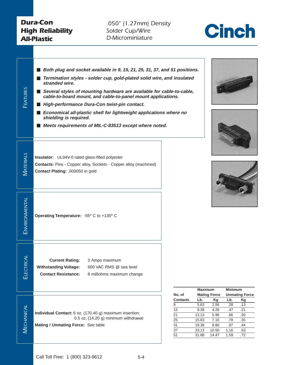## <span id="page-3-0"></span>*Dura-Con High Reliability All-Plastic*

*.050" (1.27mm) Density Solder Cup/Wire D-Microminiature*











| No. of          | Maximum | <b>Mating Force</b> | <b>Minimum</b><br><b>Unmating Force</b> |     |  |
|-----------------|---------|---------------------|-----------------------------------------|-----|--|
| <b>Contacts</b> | Lb.     | Kg                  | Lb.                                     | Κg  |  |
| 9               | 5.63    | 2.56                | .28                                     | .13 |  |
| 15              | 9.38    | 4.26                | .47                                     | .21 |  |
| 21              | 13.13   | 5.96                | .66                                     | .30 |  |
| 25              | 15.63   | 7.10                | .78                                     | .35 |  |
| 31              | 19.38   | 8.80                | .97                                     | .44 |  |
| 37              | 23.13   | 10.50               | 1.16                                    | .53 |  |
| 51              | 31.88   | 14.47               | 1.59                                    | .72 |  |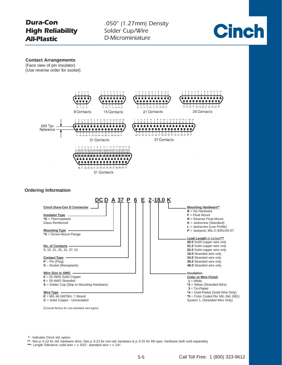

**\*** - Indicates Cinch std. option.

**\*\***- See p. 5-12 for std. hardware dims. See p. 5-13 for non-std. hardware & p. 5-31 for Mil spec. hardware both sold separately.

\*\*\*- Length Tolerance: solid wire  $= \pm 3/32$ ", standard wire  $= \pm 1/4$ ".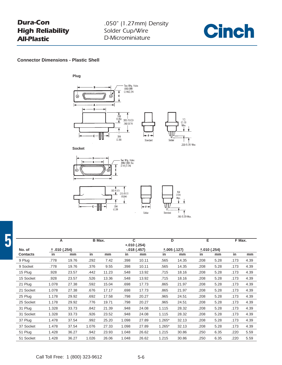## *Dura-Con High Reliability All-Plastic*



**Connector Dimensions - Plastic Shell**



|                 | A             |       | B Max. |       | C     | $+.010(.254)$   | D        |             | Е    |             | F Max. |      |
|-----------------|---------------|-------|--------|-------|-------|-----------------|----------|-------------|------|-------------|--------|------|
| No. of          | ± .010 (.254) |       |        |       |       | $-0.018$ (.457) |          | ±.005(.127) |      | ±.010(.254) |        |      |
| <b>Contacts</b> | in            | mm    | in     | mm    | in    | mm              | in       | mm          | in   | mm          | in     | mm   |
| 9 Plug          | .778          | 19.76 | .292   | 7.42  | .398  | 10.11           | .565     | 14.35       | .208 | 5.28        | .173   | 4.39 |
| 9 Socket        | .778          | 19.76 | .376   | 9.55  | .398  | 10.11           | .565     | 14.35       | .208 | 5.28        | .173   | 4.39 |
| 15 Plug         | .928          | 23.57 | .442   | 11.23 | .548  | 13.92           | .715     | 18.16       | .208 | 5.28        | .173   | 4.39 |
| 15 Socket       | .928          | 23.57 | .526   | 13.36 | .548  | 13.92           | .715     | 18.16       | .208 | 5.28        | .173   | 4.39 |
| 21 Plug         | 1.078         | 27.38 | .592   | 15.04 | .698  | 17.73           | .865     | 21.97       | .208 | 5.28        | .173   | 4.39 |
| 21 Socket       | 1.078         | 27.38 | .676   | 17.17 | .698  | 17.73           | .865     | 21.97       | .208 | 5.28        | .173   | 4.39 |
| 25 Plug         | 1.178         | 29.92 | .692   | 17.58 | .798  | 20.27           | .965     | 24.51       | .208 | 5.28        | .173   | 4.39 |
| 25 Socket       | 1.178         | 29.92 | .776   | 19.71 | .798  | 20.27           | .965     | 24.51       | .208 | 5.28        | .173   | 4.39 |
| 31 Plug         | 1.328         | 33.73 | .842   | 21.39 | .948  | 24.08           | 1.115    | 28.32       | .208 | 5.28        | .173   | 4.39 |
| 31 Socket       | 1.328         | 33.73 | .926   | 23.52 | .948  | 24.08           | 1.115    | 28.32       | .208 | 5.28        | .173   | 4.39 |
| 37 Plug         | 1.478         | 37.54 | .992   | 25.20 | 1.098 | 27.89           | $1.265*$ | 32.13       | .208 | 5.28        | .173   | 4.39 |
| 37 Socket       | 1.478         | 37.54 | 1.076  | 27.33 | 1.098 | 27.89           | $1.265*$ | 32.13       | .208 | 5.28        | .173   | 4.39 |
| 51 Plug         | 1.428         | 36.27 | .942   | 23.93 | 1.048 | 26.62           | 1.215    | 30.86       | .250 | 6.35        | .220   | 5.59 |
| 51 Socket       | 1.428         | 36.27 | 1.026  | 26.06 | 1.048 | 26.62           | 1.215    | 30.86       | .250 | 6.35        | .220   | 5.59 |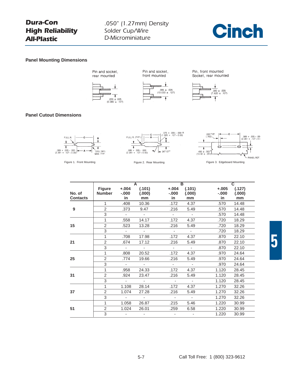## *Dura-Con High Reliability All-Plastic*

*.050" (1.27mm) Density Solder Cup/Wire D-Microminiature*



#### **Panel Mounting Dimensions**



Pin and socket,



Pin and socket,







#### **Panel Cutout Dimensions**





|                           |                         |                              | A                        |                            | $\overline{\mathbf{B}}$  |                           | $\overline{c}$         |
|---------------------------|-------------------------|------------------------------|--------------------------|----------------------------|--------------------------|---------------------------|------------------------|
| No. of<br><b>Contacts</b> | <b>Figure</b><br>Number | $+.004$<br>$-0.000$<br>in    | (.101)<br>(.000)<br>mm   | $+.004$<br>$-0.000$<br>in. | (.101)<br>(.000)<br>mm   | $+.005$<br>$-0.000$<br>in | (.127)<br>(.000)<br>mm |
|                           | $\mathbf{1}$            | .408                         | 10.36                    | .172                       | 4.37                     | .570                      | 14.48                  |
| 9                         | 2                       | .373                         | 9.47                     | .216                       | 5.49                     | .570                      | 14.48                  |
|                           | 3                       | $\sim$                       | $\sim$                   | $\sim 10$                  | $\sim$ $-$               | .570                      | 14.48                  |
|                           | $\mathbf{1}$            | .558                         | 14.17                    | .172                       | 4.37                     | .720                      | 18.29                  |
| 15                        | $\overline{2}$          | .523                         | 13.28                    | .216                       | 5.49                     | .720                      | 18.29                  |
|                           | 3                       | $\sim$                       | $\sim 100$               | $\sim$                     | $\sim$                   | .720                      | 18.29                  |
|                           | $\mathbf{1}$            | .708                         | 17.98                    | .172                       | 4.37                     | .870                      | 22.10                  |
| 21                        | $\overline{2}$          | .674                         | 17.12                    | .216                       | 5.49                     | .870                      | 22.10                  |
|                           | 3                       | $\mathcal{L}_{\mathrm{max}}$ | $\sim 100$               | $\mathcal{L}_{\rm{max}}$   | $\omega$ .               | .870                      | 22.10                  |
|                           | $\mathbf{1}$            | .808                         | 20.52                    | .172                       | 4.37                     | .970                      | 24.64                  |
| 25                        | $\overline{2}$          | .774                         | 19.66                    | .216                       | 5.49                     | .970                      | 24.64                  |
|                           | 3                       | $\sim$                       | $\sim 100$               | $\sim$                     | $\sim$ $-$               | .970                      | 24.64                  |
|                           | 1                       | .958                         | 24.33                    | .172                       | 4.37                     | 1.120                     | 28.45                  |
| 31                        | $\overline{2}$          | .924                         | 23.47                    | .216                       | 5.49                     | 1.120                     | 28.45                  |
|                           | 3                       | $\sim$                       | $\sim 100$               | $\sim$                     | $\sim$                   | 1.120                     | 28.45                  |
|                           | 1                       | 1.108                        | 28.14                    | .172                       | 4.37                     | 1.270                     | 32.26                  |
| 37                        | $\overline{2}$          | 1.074                        | 27.28                    | .216                       | 5.49                     | 1.270                     | 32.26                  |
|                           | 3                       | $\sim 100$ m $^{-1}$         | <b>Contract Contract</b> | $\sim$                     | $\sim 100$               | 1.270                     | 32.26                  |
|                           | 1                       | 1.058                        | 26.87                    | .215                       | 5.46                     | 1.220                     | 30.99                  |
| 51                        | 2                       | 1.024                        | 26.01                    | .259                       | 6.58                     | 1.220                     | 30.99                  |
|                           | 3                       | $\overline{\phantom{a}}$     |                          |                            | $\overline{\phantom{a}}$ | 1.220                     | 30.99                  |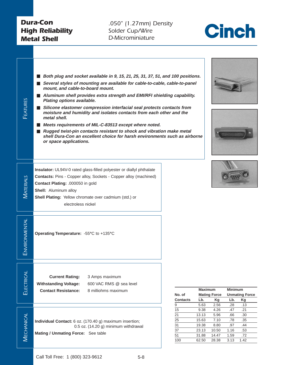*.050" (1.27mm) Density Solder Cup/Wire D-Microminiature*



<span id="page-7-0"></span>

| FEATURES          | Both plug and socket available in 9, 15, 21, 25, 31, 37, 51, and 100 positions.<br>■ Several styles of mounting are available for cable-to-cable, cable-to-panel<br>mount, and cable-to-board mount.<br>■ Aluminum shell provides extra strength and EMI/RFI shielding capability.<br>Plating options available.<br>■ Silicone elastomer compression interfacial seal protects contacts from<br>moisture and humidity and isolates contacts from each other and the<br>metal shell.<br>Meets requirements of MIL-C-83513 except where noted.<br>■ Rugged twist-pin contacts resistant to shock and vibration make metal<br>shell Dura-Con an excellent choice for harsh environments such as airborne<br>or space applications. |                                                      |                                                            |                                                         |                                                  |                                                |
|-------------------|---------------------------------------------------------------------------------------------------------------------------------------------------------------------------------------------------------------------------------------------------------------------------------------------------------------------------------------------------------------------------------------------------------------------------------------------------------------------------------------------------------------------------------------------------------------------------------------------------------------------------------------------------------------------------------------------------------------------------------|------------------------------------------------------|------------------------------------------------------------|---------------------------------------------------------|--------------------------------------------------|------------------------------------------------|
| MATERIALS         | Insulator: UL94V-0 rated glass-filled polyester or diallyl phthalate<br><b>Contacts: Pins - Copper alloy, Sockets - Copper alloy (machined)</b><br>Contact Plating: .000050 in gold<br>Shell: Aluminum alloy<br>Shell Plating: Yellow chromate over cadmium (std.) or<br>electroless nickel                                                                                                                                                                                                                                                                                                                                                                                                                                     |                                                      |                                                            |                                                         |                                                  |                                                |
| ENVIRONMENTAL     | Operating Temperature: -55°C to +135°C                                                                                                                                                                                                                                                                                                                                                                                                                                                                                                                                                                                                                                                                                          |                                                      |                                                            |                                                         |                                                  |                                                |
| ELECTRICAL        | <b>Current Rating:</b><br>3 Amps maximum<br><b>Withstanding Voltage:</b><br>600 VAC RMS @ sea level<br><b>Contact Resistance:</b><br>8 milliohms maximum                                                                                                                                                                                                                                                                                                                                                                                                                                                                                                                                                                        | No. of<br><b>Contacts</b><br>9                       | <b>Maximum</b><br>Lb.<br>5.63                              | <b>Mating Force</b><br>Kg<br>2.56                       | <b>Minimum</b><br>Lb.<br>.28                     | <b>Unmating Force</b><br>Kg<br>.13             |
| <b>MECHANICAL</b> | Individual Contact: 6 oz. (170.40 g) maximum insertion;<br>0.5 oz. (14.20 g) minimum withdrawal<br>Mating / Unmating Force: See table                                                                                                                                                                                                                                                                                                                                                                                                                                                                                                                                                                                           | 15<br>$\overline{21}$<br>25<br>31<br>37<br>51<br>100 | 9.38<br>13.13<br>15.63<br>19.38<br>23.13<br>31.88<br>62.50 | 4.26<br>5.96<br>7.10<br>8.80<br>10.50<br>14.47<br>28.38 | .47<br>.66<br>.78<br>.97<br>1.16<br>1.59<br>3.13 | .21<br>.30<br>.35<br>.44<br>.53<br>.72<br>1.42 |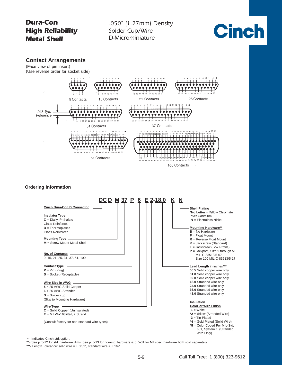*.050" (1.27mm) Density Solder Cup/Wire D-Microminiature*



#### **Contact Arrangements**

(Face view of pin insert) (Use reverse order for socket side)



#### **Ordering Information**



**\*** - Indicates Cinch std. option.

**\*\***- See p. 5-12 for std. hardware dims. See p. 5-13 for non-std. hardware & p. 5-31 for Mil spec. hardware both sold separately.

**\*\*\***- Length Tolerance: solid wire = ± 3/32", standard wire = ± 1/4".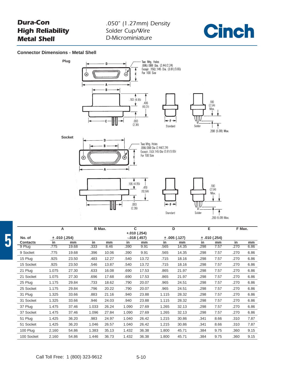## *.050" (1.27mm) Density Solder Cup/Wire D-Microminiature*



#### **Connector Dimensions - Metal Shell**



|                 | A     |             | B Max. |       | $\mathbf{C}$ |                                |       | D           | Е    |               | F Max. |      |
|-----------------|-------|-------------|--------|-------|--------------|--------------------------------|-------|-------------|------|---------------|--------|------|
| No. of          |       | ±.010(.254) |        |       |              | $+.010(.254)$<br>$-.018(.457)$ |       | ±.005(.127) |      | ± .010 (.254) |        |      |
| <b>Contacts</b> | in    | mm          | in     | mm    | in           | mm                             | in    | mm          | in   | mm            | in     | mm   |
| 9 Plug          | .775  | 19.68       | .333   | 8.46  | .390         | 9.91                           | .565  | 14.35       | .298 | 7.57          | .270   | 6.86 |
| 9 Socket        | .775  | 19.68       | .396   | 10.06 | .390         | 9.91                           | .565  | 14.35       | .298 | 7.57          | .270   | 6.86 |
| 15 Plug         | .925  | 23.50       | .483   | 12.27 | .540         | 13.72                          | .715  | 18.16       | .298 | 7.57          | .270   | 6.86 |
| 15 Socket       | .925  | 23.50       | .546   | 13.87 | .540         | 13.72                          | .715  | 18.16       | .298 | 7.57          | .270   | 6.86 |
| 21 Plug         | 1.075 | 27.30       | .633   | 16.08 | .690         | 17.53                          | .865  | 21.97       | .298 | 7.57          | .270   | 6.86 |
| 21 Socket       | 1.075 | 27.30       | .696   | 17.68 | .690         | 17.53                          | .865  | 21.97       | .298 | 7.57          | .270   | 6.86 |
| 25 Plug         | 1.175 | 29.84       | .733   | 18.62 | .790         | 20.07                          | .965  | 24.51       | .298 | 7.57          | .270   | 6.86 |
| 25 Socket       | 1.175 | 29.84       | .796   | 20.22 | .790         | 20.07                          | .965  | 24.51       | .298 | 7.57          | .270   | 6.86 |
| 31 Plug         | 1.325 | 33.66       | .883   | 21.16 | .940         | 23.88                          | 1.115 | 28.32       | .298 | 7.57          | .270   | 6.86 |
| 31 Socket       | 1.325 | 33.66       | .946   | 24.03 | .940         | 23.88                          | 1.115 | 28.32       | .298 | 7.57          | .270   | 6.86 |
| 37 Plug         | 1.475 | 37.46       | 1.033  | 26.24 | 1.090        | 27.69                          | 1.265 | 32.13       | .298 | 7.57          | .270   | 6.86 |
| 37 Socket       | 1.475 | 37.46       | 1.096  | 27.84 | 1.090        | 27.69                          | 1.265 | 32.13       | .298 | 7.57          | .270   | 6.86 |
| 51 Plug         | 1.425 | 36.20       | .983   | 24.97 | 1.040        | 26.42                          | 1.215 | 30.86       | .341 | 8.66          | .310   | 7.87 |
| 51 Socket       | 1.425 | 36.20       | 1.046  | 26.57 | 1.040        | 26.42                          | 1.215 | 30.86       | .341 | 8.66          | .310   | 7.87 |
| 100 Plug        | 2.160 | 54.86       | 1.383  | 35.13 | 1.432        | 36.38                          | 1.800 | 45.71       | .384 | 9.75          | .360   | 9.15 |
| 100 Socket      | 2.160 | 54.86       | 1.446  | 36.73 | 1.432        | 36.38                          | 1.800 | 45.71       | .384 | 9.75          | .360   | 9.15 |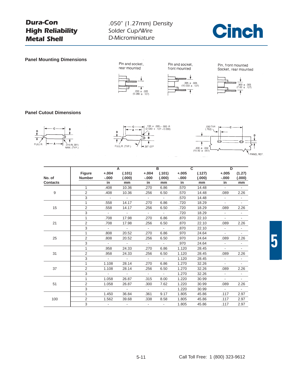## *.050" (1.27mm) Density Solder Cup/Wire D-Microminiature*



**Panel Mounting Dimensions**



Pin, front mounted Socket, rear mounted



#### **Panel Cutout Dimensions**







|                 |                |                 | A                       |                  | <sub>R</sub> |          | C.     | D                        |        |
|-----------------|----------------|-----------------|-------------------------|------------------|--------------|----------|--------|--------------------------|--------|
|                 | <b>Figure</b>  | $+.004$         | (.101)                  | $+.004$          | (.101)       | $+.005$  | (.127) | $+.005$                  | (1.27) |
| No. of          | <b>Number</b>  | $-.000$         | (.000)                  | $-.000$          | (.000)       | $-0.000$ | (.000) | $-0.000$                 | (.000) |
| <b>Contacts</b> |                | in              | mm                      | in               | mm           | in       | mm     | in                       | mm     |
|                 | 1              | .408            | 10.36                   | .270             | 6.86         | .570     | 14.48  | $\sim$                   |        |
| 9               | $\overline{2}$ | .408            | 10.36                   | .256             | 6.50         | .570     | 14.48  | .089                     | 2.26   |
|                 | 3              | $\sim 100$      | <b>Contract</b>         | $\sim$ 10 $\pm$  | $\sim$       | .570     | 14.48  | $\blacksquare$           |        |
|                 | 1              | .558            | 14.17                   | .270             | 6.86         | .720     | 18.29  | $\blacksquare$           |        |
| 15              | 2              | .558            | 14.17                   | .256             | 6.50         | .720     | 18.29  | .089                     | 2.26   |
|                 | 3              | $\sim$ $-$      | $\sim 10$               | $\sim 10$        | $\sim$       | .720     | 18.29  | $\sim$                   |        |
|                 | 1              | .708            | 17.98                   | .270             | 6.86         | .870     | 22.10  | $\blacksquare$           |        |
| 21              | 2              | .708            | 17.98                   | .256             | 6.50         | .870     | 22.10  | .089                     | 2.26   |
|                 | 3              | $\sim$ 10 $\pm$ | $\sim 100$ km s $^{-1}$ | $\sim$ 10 $\pm$  | $\sim$       | .870     | 22.10  | $\overline{\phantom{a}}$ |        |
|                 |                | .808            | 20.52                   | .270             | 6.86         | .970     | 24.64  |                          |        |
| 25              | 2              | .808            | 20.52                   | .256             | 6.50         | .970     | 24.64  | .089                     | 2.26   |
|                 | 3              | $\sim$          | $\sim 100$              | $\sim$ $-$       | $\sim$       | .970     | 24.64  | $\blacksquare$           |        |
|                 | 1              | .958            | 24.33                   | .270             | 6.86         | 1.120    | 28.45  | $\blacksquare$           |        |
| 31              | 2              | .958            | 24.33                   | .256             | 6.50         | 1.120    | 28.45  | .089                     | 2.26   |
|                 | 3              | $\sim$          | $\sim 10$               | $\sim$           | $\sim$ $-$   | 1.120    | 28.45  | $\blacksquare$           |        |
|                 | 1.             | 1.108           | 28.14                   | .270             | 6.86         | 1.270    | 32.26  | $\overline{\phantom{a}}$ |        |
| 37              | 2              | 1.108           | 28.14                   | .256             | 6.50         | 1.270    | 32.26  | .089                     | 2.26   |
|                 | 3              | $\sim$ 10 $\pm$ | $\sim$ 10 $\pm$         | $\Delta \sim 10$ | $\sim$       | 1.270    | 32.26  | $\overline{\phantom{a}}$ |        |
|                 | 1.             | 1.058           | 26.87                   | .315             | 8.00         | 1.220    | 30.99  |                          |        |
| 51              | 2              | 1.058           | 26.87                   | .300             | 7.62         | 1.220    | 30.99  | .089                     | 2.26   |
|                 | 3              | $\sim 100$      | <b>Contract</b>         | $\sim$           | $\sim$       | 1.220    | 30.99  | $\sim$                   | $\sim$ |
|                 | 1              | 1.450           | 36.84                   | .361             | 9.17         | 1.805    | 45.86  | .117                     | 2.97   |
| 100             | 2              | 1.562           | 39.68                   | .338             | 8.58         | 1.805    | 45.86  | .117                     | 2.97   |
|                 | 3              | $\sim$          | $\sim$                  | $\sim$           | $\sim$       | 1.805    | 45.86  | .117                     | 2.97   |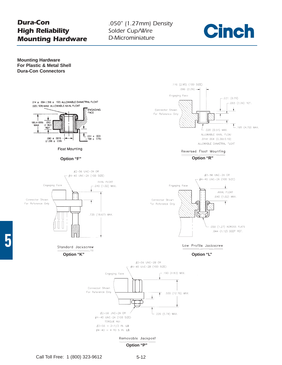## *Dura-Con High Reliability Mounting Hardware*

*.050" (1.27mm) Density Solder Cup/Wire D-Microminiature*



**Mounting Hardware For Plastic & Metal Shell Dura-Con Connectors**

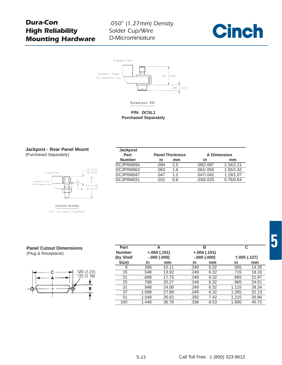## *Dura-Con High Reliability Mounting Hardware*

## *.050" (1.27mm) Density Solder Cup/Wire D-Microminiature*







#### **P/N: DCSL1 Purchased Separately**

#### **Jackpost - Rear Panel Mount** (Purchased Separately)



| <b>Jackpost</b> |      |                        |                    |           |
|-----------------|------|------------------------|--------------------|-----------|
| Part            |      | <b>Panel Thickness</b> | <b>A Dimension</b> |           |
| <b>Number</b>   | in   | mm                     | in                 | mm        |
| DCJPRM094       | .094 | 2.5                    | .092/.087          | 2.34/2.21 |
| DCJPRM063       | .063 | 1.6                    | .061/.056          | 1.55/1.42 |
| DCJPRM047       | .047 | 1.2 <sub>2</sub>       | .047/0.042         | 1.19/1.07 |
| DCJPRM031       | .031 | 0.8                    | .030/.025          | 0.76/0.64 |
|                 |      |                        |                    |           |

#### **Panel Cutout Dimensions** (Plug & Receptacle)



| $+.004(.101)$<br>$+.004(.101)$<br>(by Shell<br>$-.000(.000)$<br>$-.000(.000)$<br>$\pm .005$ (.127)<br>Size)<br>in<br>in<br>in<br>mm<br>mm<br>.398<br>.249<br>6.32<br>.565<br>10.11<br>9<br>15<br>6.32<br>.548<br>13.92<br>.249<br>.715 |       |  |  |
|----------------------------------------------------------------------------------------------------------------------------------------------------------------------------------------------------------------------------------------|-------|--|--|
|                                                                                                                                                                                                                                        |       |  |  |
|                                                                                                                                                                                                                                        | mm    |  |  |
|                                                                                                                                                                                                                                        | 14.35 |  |  |
|                                                                                                                                                                                                                                        | 18.16 |  |  |
| 21<br>6.32<br>.698<br>17.73<br>.249<br>.865                                                                                                                                                                                            | 21.97 |  |  |
| 25<br>.798<br>6.32<br>20.27<br>.249<br>.965                                                                                                                                                                                            | 24.51 |  |  |
| 31<br>24.08<br>6.32<br>1.115<br>.948<br>.249                                                                                                                                                                                           | 28.34 |  |  |
| 37<br>1.265<br>1.098<br>27.89<br>6.32<br>.249                                                                                                                                                                                          | 32.13 |  |  |
| 51<br>1.215<br>.292<br>7.42<br>1.048<br>26.62                                                                                                                                                                                          | 30.86 |  |  |
| .336<br>1.800<br>100<br>1.448<br>36.78<br>8.53                                                                                                                                                                                         | 45.72 |  |  |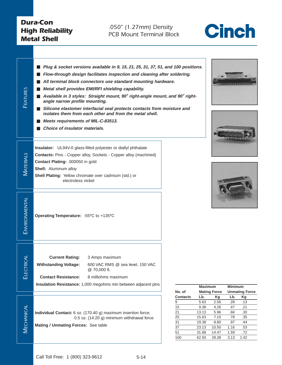*.050" (1.27mm) Density PCB Mount Terminal Block*



| <b>FEATURES</b>   | ш<br>ш<br>ш<br>angle narrow profile mounting.<br>Meets requirements of MIL-C-83513.<br>Choice of insulator materials.                           | Plug & socket versions available in 9, 15, 21, 25, 31, 37, 51, and 100 positions.<br>Flow-through design facilitates inspection and cleaning after soldering.<br>All terminal block connectors use standard mounting hardware.<br>Metal shell provides EMI/RFI shielding capability.<br>Available in 3 styles: Straight mount, 90° right-angle mount, and 90° right-<br>■ Silicone elastomer interfacial seal protects contacts from moisture and<br>isolates them from each other and from the metal shell. |                                                                 |                                                                           |                                                                       |             |
|-------------------|-------------------------------------------------------------------------------------------------------------------------------------------------|--------------------------------------------------------------------------------------------------------------------------------------------------------------------------------------------------------------------------------------------------------------------------------------------------------------------------------------------------------------------------------------------------------------------------------------------------------------------------------------------------------------|-----------------------------------------------------------------|---------------------------------------------------------------------------|-----------------------------------------------------------------------|-------------|
| <b>MATERIALS</b>  | Contact Plating: .000050 in gold<br>Shell: Aluminum alloy<br><b>Shell Plating:</b> Yellow chromate over cadmium (std.) or<br>electroless nickel | Insulator: UL94V-0 glass-filled polyester or diallyl phthalate<br>Contacts: Pins - Copper alloy, Sockets - Copper alloy (machined)                                                                                                                                                                                                                                                                                                                                                                           |                                                                 |                                                                           |                                                                       |             |
| ENVIRONMENTAL     | Operating Temperature: - 55°C to +135°C                                                                                                         |                                                                                                                                                                                                                                                                                                                                                                                                                                                                                                              |                                                                 |                                                                           |                                                                       |             |
| ₹<br>ELECTRIC     | <b>Current Rating:</b><br><b>Withstanding Voltage:</b><br><b>Contact Resistance:</b>                                                            | 3 Amps maximum<br>600 VAC RMS @ sea level, 150 VAC<br>@ 70,000 ft.<br>8 milliohms maximum<br>Insulation Resistance: 1,000 megohms min between adjacent pins                                                                                                                                                                                                                                                                                                                                                  | No. of                                                          | <b>Maximum</b>                                                            | <b>Mating Force</b>                                                   | N<br>U      |
| <b>MECHANICAL</b> | Mating / Unmating Forces: See table                                                                                                             | Individual Contact: 6 oz. (170.40 g) maximum insertion force;<br>0.5 oz. (14.20 g) minimum withdrawal force                                                                                                                                                                                                                                                                                                                                                                                                  | <b>Contacts</b><br>9<br>15<br>21<br>25<br>31<br>37<br>51<br>100 | Lb.<br>5.63<br>9.38<br>13.13<br>15.63<br>19.38<br>23.13<br>31.88<br>62.50 | Kg<br>2.56<br>4.26<br>5.96<br>7.10<br>8.80<br>10.50<br>14.47<br>28.38 | 1<br>1<br>3 |







|                 | <b>Maximum</b> |                     | <b>Minimum</b> |                       |
|-----------------|----------------|---------------------|----------------|-----------------------|
| No. of          |                | <b>Mating Force</b> |                | <b>Unmating Force</b> |
| <b>Contacts</b> | Lb.            | Κg                  | Lb.            | Kg                    |
| 9               | 5.63           | 2.56                | .28            | .13                   |
| 15              | 9.38           | 4.26                | .47            | .21                   |
| 21              | 13.13          | 5.96                | .66            | .30                   |
| 25              | 15.63          | 7.10                | .78            | .35                   |
| 31              | 19.38          | 8.80                | .97            | .44                   |
| 37              | 23.13          | 10.50               | 1.16           | .53                   |
| 51              | 31.88          | 14.47               | 1.59           | .72                   |
| 100             | 62.50          | 28.38               | 3.13           | 1.42                  |
|                 |                |                     |                |                       |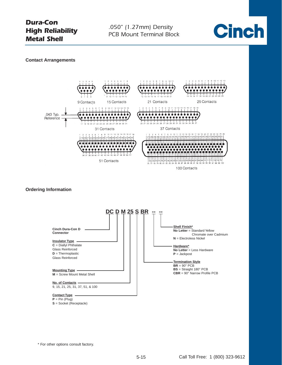*.050" (1.27mm) Density PCB Mount Terminal Block*



#### **Contact Arrangements**



#### **Ordering Information**



\* For other options consult factory.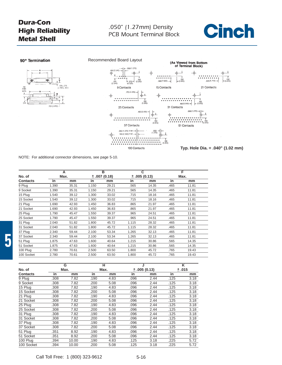





NOTE: For additional connector dimensions, see page 5-10.

|                 |       | A     |       | $\overline{B}$ |       | $\overline{\mathbf{c}}$ |      | F     |
|-----------------|-------|-------|-------|----------------|-------|-------------------------|------|-------|
| No. of          |       | Max.  |       | ±.007(0.18)    |       | ±.005(0.13)             |      | Max.  |
| <b>Contacts</b> | in    | mm    | in    | mm             | in    | mm                      | in   | mm    |
| 9 Plug          | 1.390 | 35.31 | 1.150 | 29.21          | .565  | 14.35                   | .465 | 11.81 |
| 9 Socket        | 1.390 | 35.31 | 1.150 | 29.21          | .565  | 14.35                   | .465 | 11.81 |
| 15 Plug         | 1.540 | 39.12 | 1.300 | 33.02          | .715  | 18.16                   | .465 | 11.81 |
| 15 Socket       | 1.540 | 39.12 | 1.300 | 33.02          | .715  | 18.16                   | .465 | 11.81 |
| 21 Plug         | 1.690 | 42.93 | 1.450 | 36.83          | .865  | 21.97                   | .465 | 11.81 |
| 21 Socket       | 1.690 | 42.93 | 1.450 | 36.83          | .865  | 21.97                   | .465 | 11.81 |
| 25 Plug         | 1.790 | 45.47 | 1.550 | 39.37          | .965  | 24.51                   | .465 | 11.81 |
| 25 Socket       | 1.790 | 45.47 | 1.550 | 39.37          | .965  | 24.51                   | .465 | 11.81 |
| 31 Plug         | 2.040 | 51.82 | 1.800 | 45.72          | 1.115 | 28.32                   | .465 | 11.81 |
| 31 Socket       | 2.040 | 51.82 | 1.800 | 45.72          | 1.115 | 28.32                   | .465 | 11.81 |
| 37 Plug         | 2.340 | 59.44 | 2.100 | 53.34          | 1.265 | 32.13                   | .465 | 11.81 |
| 37 Socket       | 2.340 | 59.44 | 2.100 | 53.34          | 1.265 | 32.13                   | .465 | 11.81 |
| 51 Plug         | 1.875 | 47.63 | 1.600 | 40.64          | 1.215 | 30.86                   | .565 | 14.35 |
| 51 Socket       | 1.875 | 47.63 | 1.600 | 40.64          | 1.215 | 30.86                   | .565 | 14.35 |
| 100 Plug        | 2.780 | 70.61 | 2.500 | 63.50          | 1.800 | 45.72                   | .765 | 19.43 |
| 100 Socket      | 2.780 | 70.61 | 2.500 | 63.50          | 1.800 | 45.72                   | .765 | 19.43 |

|                 |      | G     |      | н    | J    |             | ĸ     |      |  |
|-----------------|------|-------|------|------|------|-------------|-------|------|--|
| No. of          |      | Max.  |      | Max. |      | ±.005(0.13) | ±.015 |      |  |
| <b>Contacts</b> | in   | mm    | in   | mm   | in   | mm          | in    | mm   |  |
| 9 Plug          | .308 | 7.82  | .190 | 4.83 | .096 | 2.44        | .125  | 3.18 |  |
| 9 Socket        | .308 | 7.82  | .200 | 5.08 | .096 | 2.44        | .125  | 3.18 |  |
| 15 Plug         | .308 | 7.82  | .190 | 4.83 | .096 | 2.44        | .125  | 3.18 |  |
| 15 Socket       | .308 | 7.82  | .200 | 5.08 | .096 | 2.44        | .125  | 3.18 |  |
| 21 Plug         | .308 | 7.82  | .190 | 4.83 | .096 | 2.44        | .125  | 3.18 |  |
| 21 Socket       | .308 | 7.82  | .200 | 5.08 | .096 | 2.44        | .125  | 3.18 |  |
| 25 Plug         | .308 | 7.82  | .190 | 4.83 | .096 | 2.44        | .125  | 3.18 |  |
| 25 Socket       | .308 | 7.82  | .200 | 5.08 | .096 | 2.44        | .125  | 3.18 |  |
| 31 Plug         | .308 | 7.82  | .190 | 4.83 | .096 | 2.44        | .125  | 3.18 |  |
| 31 Socket       | .308 | 7.82  | .200 | 5.08 | .096 | 2.44        | .125  | 3.18 |  |
| 37 Plug         | .308 | 7.82  | .190 | 4.83 | .096 | 2.44        | .125  | 3.18 |  |
| 37 Socket       | .308 | 7.82  | .200 | 5.08 | .096 | 2.44        | .125  | 3.18 |  |
| 51 Plug         | .351 | 8.92  | .190 | 4.83 | .096 | 2.44        | .125  | 3.18 |  |
| 51 Socket       | .351 | 8.92  | .200 | 5.08 | .096 | 2.44        | .125  | 3.18 |  |
| 100 Plug        | .394 | 10.00 | .190 | 4.83 | .125 | 3.18        | .225  | 5.72 |  |
| 100 Socket      | .394 | 10.00 | .200 | 5.08 | .125 | 3.18        | .225  | 5.72 |  |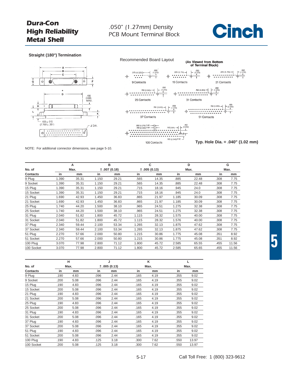

#### **Straight (180°) Termination**





NOTE: For additional connector dimensions, see page 5-10.

|                 |       | А     |       | в           |       | C           |       | D     |      | G     |
|-----------------|-------|-------|-------|-------------|-------|-------------|-------|-------|------|-------|
| No. of          |       | Max.  |       | ±.007(0.18) |       | ±.005(0.13) | Max.  |       | Max. |       |
| <b>Contacts</b> | in    | mm    | in    | mm          | in    | mm          | in    | mm    | in   | mm    |
| 9 Plug          | 1.390 | 35.31 | 1.150 | 29.21       | .565  | 14.35       | .885  | 22.48 | .308 | 7.75  |
| 9 Socket        | 1.390 | 35.31 | 1.150 | 29.21       | .565  | 14.35       | .885  | 22.48 | .308 | 7.75  |
| 15 Plug         | 1.390 | 35.31 | 1.150 | 29.21       | .715  | 18.16       | .945  | 24.0  | .308 | 7.75  |
| 15 Socket       | 1.390 | 35.31 | 1.150 | 29.21       | .715  | 18.16       | .945  | 24.0  | .308 | 7.75  |
| 21 Plug         | 1.690 | 42.93 | 1.450 | 36.83       | .865  | 21.97       | 1.185 | 30.09 | .308 | 7.75  |
| 21 Socket       | 1.690 | 42.93 | 1.450 | 36.83       | .865  | 21.97       | 1.185 | 30.09 | .308 | 7.75  |
| 25 Plug         | 1.740 | 44.20 | 1.500 | 38.10       | .965  | 24.51       | 1.275 | 32.38 | .308 | 7.75  |
| 25 Socket       | 1.740 | 44.20 | 1.500 | 38.10       | .965  | 24.51       | 1.275 | 32.38 | .308 | 7.75  |
| 31 Plug         | 2.040 | 51.82 | 1.800 | 45.72       | 1.115 | 28.32       | 1.575 | 40.00 | .308 | 7.75  |
| 31 Socket       | 2.040 | 51.82 | 1.800 | 45.72       | 1.115 | 28.32       | 1.576 | 40.00 | .308 | 7.75  |
| 37 Plug         | 2.340 | 59.44 | 2.100 | 53.34       | 1.265 | 32.13       | 1.875 | 47.62 | .308 | 7.75  |
| 37 Socket       | 2.340 | 59.44 | 2.100 | 53.34       | 1.265 | 32.13       | 1.875 | 47.62 | .308 | 7.75  |
| 51 Plug         | 2.270 | 57.66 | 2.000 | 50.80       | 1.215 | 30.86       | 1.775 | 45.08 | .351 | 8.92  |
| 51 Socket       | 2.270 | 57.66 | 2.000 | 50.80       | 1.215 | 30.86       | 1.775 | 45.08 | .351 | 8.92  |
| 100 Plug        | 3.070 | 77.98 | 2.800 | 71.12       | 1.800 | 45.72       | 2.585 | 65.55 | .455 | 11.56 |
| 100 Socket      | 3.070 | 77.98 | 2.800 | 71.12       | 1.800 | 45.72       | 2.585 | 65.65 | .455 | 11.56 |

|                 |      | н    |      | J           |      | κ    |      |       |
|-----------------|------|------|------|-------------|------|------|------|-------|
| No. of          |      | Max. |      | ±.005(0.13) |      | Max. |      | Max.  |
| <b>Contacts</b> | in   | mm   | in   | mm          | in   | mm   | in   | mm    |
| 9 Plug          | .190 | 4.83 | .096 | 2.44        | .165 | 4.19 | .355 | 9.02  |
| 9 Socket        | .200 | 5.08 | .096 | 2.44        | .165 | 4.19 | .355 | 9.02  |
| 15 Plug         | .190 | 4.83 | .096 | 2.44        | .165 | 4.19 | .355 | 9.02  |
| 15 Socket       | .200 | 5.08 | .096 | 2.44        | .165 | 4.19 | .355 | 9.02  |
| 21 Plug         | .190 | 4.83 | .096 | 2.44        | .165 | 4.19 | .355 | 9.02  |
| 21 Socket       | .200 | 5.08 | .096 | 2.44        | .165 | 4.19 | .355 | 9.02  |
| 25 Plug         | .190 | 4.83 | .096 | 2.44        | .165 | 4.19 | .355 | 9.02  |
| 25 Socket       | .200 | 5.08 | .096 | 2.44        | .165 | 4.19 | .355 | 9.02  |
| 31 Plug         | .190 | 4.83 | .096 | 2.44        | .165 | 4.19 | .355 | 9.02  |
| 31 Socket       | .200 | 5.08 | .096 | 2.44        | .165 | 4.19 | .355 | 9.02  |
| 37 Plug         | .190 | 4.83 | .096 | 2.44        | .165 | 4.19 | .355 | 9.02  |
| 37 Socket       | .200 | 5.08 | .096 | 2.44        | .165 | 4.19 | .355 | 9.02  |
| 51 Plug         | .190 | 4.83 | .096 | 2.44        | .165 | 4.19 | .355 | 9.02  |
| 51 Socket       | .200 | 5.08 | .096 | 2.44        | .165 | 4.19 | .355 | 9.02  |
| 100 Plug        | .190 | 4.83 | .125 | 3.18        | .300 | 7.62 | .550 | 13.97 |
| 100 Socket      | .200 | 5.08 | .125 | 3.18        | .300 | 7.62 | .550 | 13.97 |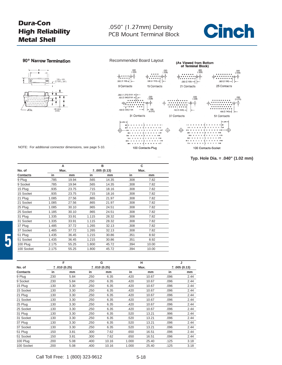

**Typ. Hole Dia. = .040" (1.02 mm)**

#### 90° Narrow Termination





NOTE: For additional connector dimensions, see page 5-10.

#### A B C **No. of Max. Max. +** .005 (0.13) Max. **Contacts in mm in mm in mm** 9 Plug .785 19.94 .565 14.35 .308 7.82 9 Socket .785 19.94 .565 14.35 .308 7.82 15 Plug .935 23.75 .715 18.16 .308 7.82 15 Socket .935 23.75 .715 18.16 .308 7.82 21 Plug 1.085 27.56 .865 21.97 .308 7.82 21 Socket 1.085 27.56 .865 21.97 .308 7.82 25 Plug 1.085 30.10 .965 24.51 .308 7.82 25 Socket 1.185 30.10 .965 24.51 .308 7.82 31 Plug 1.335 33.91 1.115 28.32 .308 7.82 31 Socket 1.335 33.91 1.115 28.32 .308 7.82 37 Plug 1.485 37.72 1.265 32.13 .308 7.82 37 Socket 1.485 37.72 1.265 32.13 .308 7.82 51 Plug 1.435 36.45 1.215 30.86 .351 8.92 51 Socket 1.435 36.45 1.215 30.86 .351 8.92 100 Plug 2.175 55.25 1.800 45.72 .394 10.00 100 Socket 2.175 55.25 1.800 45.72 .394 10.00

**5**

|            |      | F           |      | G           |       | н     |      |             |
|------------|------|-------------|------|-------------|-------|-------|------|-------------|
| No. of     |      | ±.010(0.25) |      | ±.010(0.25) |       | Max.  |      | ±.005(0.13) |
| Contacts   | in   | mm          | in   | mm          | in    | mm    | in   | mm          |
| 9 Plug     | .230 | 5.84        | .250 | 6.35        | .420  | 10.67 | .096 | 2.44        |
| 9 Socket   | .230 | 5.84        | .250 | 6.35        | .420  | 10.67 | .096 | 2.44        |
| 15 Plug    | .130 | 3.30        | .250 | 6.35        | .420  | 10.67 | .096 | 2.44        |
| 15 Socket  | .130 | 3.30        | .250 | 6.35        | .420  | 10.67 | .096 | 2.44        |
| 21 Plug    | .130 | 3.30        | .250 | 6.35        | .420  | 10.67 | .096 | 2.44        |
| 21 Socket  | .130 | 3.30        | .250 | 6.35        | .420  | 10.67 | .096 | 2.44        |
| 25 Plug    | .130 | 3.30        | .250 | 6.35        | .420  | 10.67 | .096 | 2.44        |
| 25 Socket  | .130 | 3.30        | .250 | 6.35        | .420  | 10.67 | .096 | 2.44        |
| 31 Plug    | .130 | 3.30        | .250 | 6.35        | .520  | 13.21 | .996 | 2.44        |
| 31 Socket  | .130 | 3.30        | .250 | 6.35        | .520  | 13.21 | .096 | 2.44        |
| 37 Plug    | .130 | 3.30        | .250 | 6.35        | .520  | 13.21 | .096 | 2.44        |
| 37 Socket  | .130 | 3.30        | .250 | 6.35        | .520  | 13.21 | .096 | 2.44        |
| 51 Plug    | .150 | 3.81        | .300 | 7.62        | .650  | 16.51 | .096 | 2.44        |
| 51 Socket  | .150 | 3.81        | .300 | 7.62        | .650  | 16.51 | .096 | 2.44        |
| 100 Plug   | .200 | 5.08        | .400 | 10.16       | 1.000 | 25.40 | .125 | 3.18        |
| 100 Socket | .200 | 5.08        | .400 | 10.16       | 1.000 | 25.40 | .125 | 3.18        |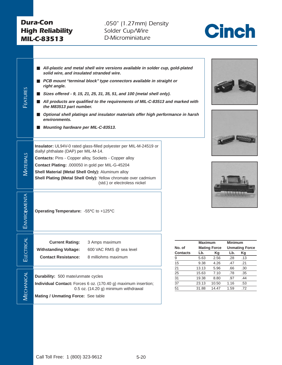*FEATURES*

*.050" (1.27mm) Density Solder Cup/Wire D-Microminiature*



<span id="page-18-0"></span>■ All-plastic and metal shell wire versions available in solder cup, gold-plated **solid wire, and insulated stranded wire.**

- **PCB** mount "terminal block" type connectors available in straight or **right angle.**
- **Sizes offered 9, 15, 21, 25, 31, 35, 51, and 100 (metal shell only).**
- All products are qualified to the requirements of MIL-C-83513 and marked with **the M83513 part number.**
- **Optional shell platings and insulator materials offer high performance in harsh environments.**
- **Mounting hardware per MIL-C-83513.**

**Insulator:** UL94V-0 rated glass-filled polyester per MIL-M-24519 or diallyl phthalate (DAP) per MIL-M-14.

MATERIALS *MATERIALS* **Contacts:** Pins - Copper alloy, Sockets - Copper alloy

**Contact Plating:** .000050 in gold per MIL-G-45204

**Shell Material (Metal Shell Only):** Aluminum alloy

**Shell Plating (Metal Shell Only):** Yellow chromate over cadmium (std.) or electroless nickel

**Operating Temperature:** -55**°**C to +125**°**C

**Contact Resistance:** 8 milliohms maximum

**ELECTRICAL** 

ELECTRICAL

**MECHANICAL** 

**VIECHANICAL** 

*ENVIRONMENTA L*

ENVIRONMENTA

**Current Rating:** 3 Amps maximum **Withstanding Voltage:** 600 VAC RMS @ sea level

**Durability:** 500 mate/unmate cycles

**Individual Contact:** Forces 6 oz. (170.40 g) maximum insertion; 0.5 oz. (14.20 g) minimum withdrawal

**Mating / Unmating Force:** See table







| <b>Mating Force</b><br><b>Unmating Force</b><br>Lb.<br>Κq<br>Kg<br>2.56<br>.13<br>.28 |  |
|---------------------------------------------------------------------------------------|--|
|                                                                                       |  |
|                                                                                       |  |
|                                                                                       |  |
| 4.26<br>.21<br>.47                                                                    |  |
| 5.96<br>.30<br>.66                                                                    |  |
| 7.10<br>.35<br>.78                                                                    |  |
| 8.80<br>.97<br>.44                                                                    |  |
| 10.50<br>1.16<br>.53                                                                  |  |
| 1.59<br>14.47<br>.72                                                                  |  |
|                                                                                       |  |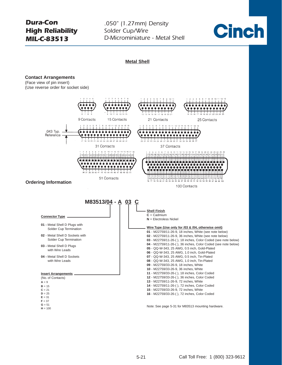*.050" (1.27mm) Density Solder Cup/Wire D-Microminiature - Metal Shell*



**Metal ShellContact Arrangements** (Face view of pin insert) (Use reverse order for socket side) 9 Contacts 15 Contacts 21 Contacts 25 Contacts .043 Typ. a a bha an t-Reference  $\bullet$  $\bullet\bullet\bullet\bullet$ <u>,,,,,,,,,,,,,,</u>  $25\ 26\ 27\ 28$ 31 Contacts 37 Contacts 10 11 12 13 14 15 16 17  $10 + 11 + 12$  $\frac{1}{22}$  23 24 25 26 27 28 29 30 31 32 33 34 35 100000000000000000 188888888888888888888888  $\bullet\bullet$ .....  $\frac{1}{42}$  43 44  $\frac{1}{2}$   $\frac{1}{2}$   $\frac{1}{2}$   $\frac{1}{2}$   $\frac{1}{2}$   $\frac{1}{2}$   $\frac{1}{2}$   $\frac{1}{2}$   $\frac{1}{2}$   $\frac{1}{2}$   $\frac{1}{2}$   $\frac{1}{2}$   $\frac{1}{2}$ 51 Contacts 61 62 63 64 65 66 67 68 69 70 71 72 73 74 75 **Ordering Information** 100 Contacts **M83513/04 - A 03 C Shell Finish C** = Cadmium **Connector Type N** = Electroless Nickel **01 -** Metal Shell D Plugs with **Wire Type (Use only for /03 & /04, otherwise omit)** Solder Cup Termination **01** - M22759/11-26-9, 18 inches, White (see note below) **02** - Metal Shell D Sockets with **02** - M22759/11-26-9, 36 inches, White (see note below) Solder Cup Termination **03** - M22759/11-26-( ), 18 inches, Color Coded (see note below) **04** - M22759/11-26-( ), 36 inches, Color Coded (see note below) **03 -** Metal Shell D Plugs **05** - QQ-W-343, 25 AWG, 0.5 inch, Gold-Plated with Wire Leads **06** - QQ-W-343, 25 AWG, 1.0 inch, Gold-Plated **04 -** Metal Shell D Sockets **07** - QQ-W-343, 25 AWG, 0.5 inch, Tin-Plated **08** - QQ-W-343, 25 AWG, 1.0 inch, Tin-Plated with Wire Leads **09** - M22759/33-26-9, 18 inches, White **10** - M22759/33-26-9, 36 inches, White **Insert Arrangements 11** - M22759/33-26-( ), 18 inches, Color Coded (No. of Contacts) **12** - M22759/33-26-( ), 36 inches, Color Coded **13** - M22759/11-26-9, 72 inches, White  $A = 9$ **14** - M22759/11-26-( ), 72 inches, Color Coded **B** = 15 **15** - M22759/33-26-9, 72 inches, White  $C = 21$  $D = 25$ **16** - M22759/33-26-( ), 72 inches, Color Coded  $E = 31$  $F = 37$  $G = 51$ Note: See page 5-31 for M83513 mounting hardware.  $H = 100$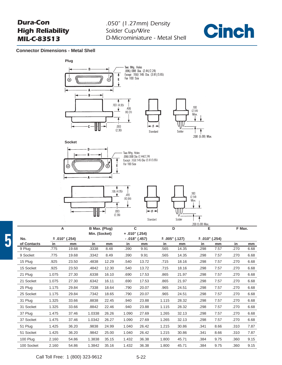

#### **Connector Dimensions - Metal Shell**



|             |       |                    |               |       |       |                 |       |                | .200 (5.08) Max.   |      |        |      |
|-------------|-------|--------------------|---------------|-------|-------|-----------------|-------|----------------|--------------------|------|--------|------|
|             | Ά     |                    | B Max. (Plug) |       | C     |                 |       | D              | E                  |      | F Max. |      |
|             |       |                    | Min. (Socket) |       |       | $+.010" (.254)$ |       |                |                    |      |        |      |
| No.         |       | $\pm$ .010" (.254) |               |       |       | $-.018" (.457)$ |       | ± .005" (.127) | $\pm$ .010" (.254) |      |        |      |
| of Contacts | in    | mm                 | in            | mm    | in    | mm              | in    | mm             | in                 | mm   | in     | mm   |
| 9 Plug      | .775  | 19.68              | .3338         | 8.48  | .390  | 9.91            | .565  | 14.35          | .298               | 7.57 | .270   | 6.68 |
| 9 Socket    | .775  | 19.68              | .3342         | 8.49  | .390  | 9.91            | .565  | 14.35          | .298               | 7.57 | .270   | 6.68 |
| 15 Plug     | .925  | 23.50              | .4838         | 12.29 | .540  | 13.72           | .715  | 18.16          | .298               | 7.57 | .270   | 6.68 |
| 15 Socket   | .925  | 23.50              | .4842         | 12.30 | .540  | 13.72           | .715  | 18.16          | .298               | 7.57 | .270   | 6.68 |
| 21 Plug     | 1.075 | 27.30              | .6338         | 16.10 | .690  | 17.53           | .865  | 21.97          | .298               | 7.57 | .270   | 6.68 |
| 21 Socket   | 1.075 | 27.30              | .6342         | 16.11 | .690  | 17.53           | .865  | 21.97          | .298               | 7.57 | .270   | 6.68 |
| 25 Plug     | 1.175 | 29.84              | .7338         | 18.64 | .790  | 20.07           | .965  | 24.51          | .298               | 7.57 | .270   | 6.68 |
| 25 Socket   | 1.175 | 29.84              | .7342         | 18.65 | .790  | 20.07           | .965  | 24.51          | .298               | 7.57 | .270   | 6.68 |
| 31 Plug     | 1.325 | 33.66              | .8838         | 22.45 | .940  | 23.88           | 1.115 | 28.32          | .298               | 7.57 | .270   | 6.68 |
| 31 Socket   | 1.325 | 33.66              | .8842         | 22.46 | .940  | 23.88           | 1.115 | 28.32          | .298               | 7.57 | .270   | 6.68 |
| 37 Plug     | 1.475 | 37.46              | 1.0338        | 26.26 | 1.090 | 27.69           | 1.265 | 32.13          | .298               | 7.57 | .270   | 6.68 |
| 37 Socket   | 1.475 | 37.46              | 1.0342        | 26.27 | 1.090 | 27.69           | 1.265 | 32.13          | .298               | 7.57 | .270   | 6.68 |
| 51 Plug     | 1.425 | 36.20              | .9838         | 24.99 | 1.040 | 26.42           | 1.215 | 30.86          | .341               | 8.66 | .310   | 7.87 |
| 51 Socket   | 1.425 | 36.20              | .9842         | 25.00 | 1.040 | 26.42           | 1.215 | 30.86          | .341               | 8.66 | .310   | 7.87 |
| 100 Plug    | 2.160 | 54.86              | 1.3838        | 35.15 | 1.432 | 36.38           | 1.800 | 45.71          | .384               | 9.75 | .360   | 9.15 |
| 100 Socket  | 2.160 | 54.86              | 1.3842        | 35.16 | 1.432 | 36.38           | 1.800 | 45.71          | .384               | 9.75 | .360   | 9.15 |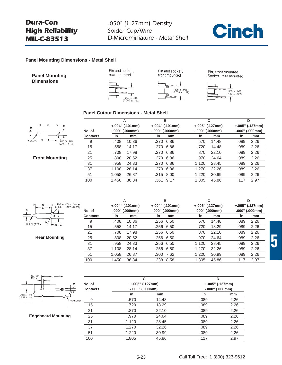

#### **Panel Mounting Dimensions - Metal Shell**

**Panel Mounting Dimensions**



Pin and socket,



Pin and socket,

Pin, front mounted Socket, rear mounted



#### **Panel Cutout Dimensions - Metal Shell**



**Front Mounting**

|          |       | A                 |      | в                 |       | C                 |      | D                 |
|----------|-------|-------------------|------|-------------------|-------|-------------------|------|-------------------|
|          |       | $+.004" (.101mm)$ |      | $+.004"$ (.101mm) |       | $+.005" (.127mm)$ |      | $+.005" (.127mm)$ |
| No. of   |       | $-.000"$ (.000mm) |      | $-.000"$ (.000mm) |       | $-.000"$ (.000mm) |      | $-.000"$ (.000mm) |
| Contacts | in    | mm                | in   | mm                | in    | mm                | in   | mm                |
| 9        | .408  | 10.36             | .270 | 6.86              | .570  | 14.48             | .089 | 2.26              |
| 15       | .558  | 14.17             | .270 | 6.86              | .720  | 14.48             | .089 | 2.26              |
| 21       | .708  | 17.98             | .270 | 6.86              | .870  | 22.10             | .089 | 2.26              |
| 25       | .808  | 20.52             | .270 | 6.86              | .970  | 24.64             | .089 | 2.26              |
| 31       | .958  | 24.33             | .270 | 6.86              | 1.120 | 28.45             | .089 | 2.26              |
| 37       | 1.108 | 28.14             | .270 | 6.86              | 1.270 | 32.26             | .089 | 2.26              |
| 51       | 1.058 | 26.87             | .315 | 8.00              | 1.220 | 30.99             | .089 | 2.26              |
| 100      | 1.450 | 36.84             | .361 | 9.17              | 1.805 | 45.86             | .117 | 2.97              |
|          |       |                   |      |                   |       |                   |      |                   |



**Rear Mounting**

|          |       | А                  |      | в                 |                   | С                 |      | D                   |
|----------|-------|--------------------|------|-------------------|-------------------|-------------------|------|---------------------|
|          |       | $+.004$ " (.101mm) |      | $+.004"$ (.101mm) |                   | $+.005" (.127mm)$ |      | $+.005"$ (.127mm)   |
| No. of   |       | $-.000"$ (.000mm)  |      | $-.000"$ (.000mm) | $-.000"$ (.000mm) |                   |      | $-.000"$ $(.000mm)$ |
| Contacts | in    | mm                 | in   | mm                | in                | mm                | in   | mm                  |
| 9        | .408  | 10.36              | .256 | 6.50              | .570              | 14.48             | .089 | 2.26                |
| 15       | .558  | 14.17              | .256 | 6.50              | .720              | 18.29             | .089 | 2.26                |
| 21       | .708  | 17.98              | .256 | 6.50              | .870              | 22.10             | .089 | 2.26                |
| 25       | .808  | 20.52              |      | .256 6.50         | .970              | 24.64             | .089 | 2.26                |
| 31       | .958  | 24.33              |      | .256 6.50         | 1.120             | 28.45             | .089 | 2.26                |
| 37       | 1.108 | 28.14              | .256 | 6.50              | 1.270             | 32.26             | .089 | 2.26                |
| 51       | 1.058 | 26.87              | .300 | 7.62              | 1.220             | 30.99             | .089 | 2.26                |
| 100      | 1.450 | 36.84              | .338 | 8.58              | 1.805             | 45.86             | .117 | 2.97                |



**Edgeboard Mounting**

|                 | C                   |                     | D                 |      |  |
|-----------------|---------------------|---------------------|-------------------|------|--|
| No. of          | $+.005" (.127mm)$   |                     | $+.005" (.127mm)$ |      |  |
| <b>Contacts</b> | $-.000"$ $(.000mm)$ | $-.000"$ $(.000mm)$ |                   |      |  |
|                 | in                  | mm                  | in                | mm   |  |
| 9<br>REF.       | .570                | 14.48               | .089              | 2.26 |  |
| 15              | .720                | 18.29               | .089              | 2.26 |  |
| 21              | .870                | 22.10               | .089              | 2.26 |  |
| 25              | .970                | 24.64               | .089              | 2.26 |  |
| 31              | 1.120               | 28.45               | .089              | 2.26 |  |
| 37              | 1.270               | 32.26               | .089              | 2.26 |  |
| 51              | 1.220               | 30.99               | .089              | 2.26 |  |
| 100             | 1.805               | 45.86               | .117              | 2.97 |  |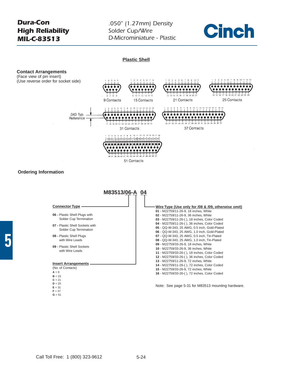*.050" (1.27mm) Density Solder Cup/Wire D-Microminiature - Plastic*



#### **Plastic Shell**



- **08** Plastic Shell Plugs with Wire Leads
- **09** Plastic Shell Sockets with Wire Leads

#### **Insert Arrangements**

- (No. of Contacts)
- $A = 9$  $B = 15$

**5**

- $C = 21$
- $D = 25$
- $E = 31$
- $F = 37$
- $G = 51$

Note: See page 5-31 for M83513 mounting hardware.

 - QQ-W-343, 25 AWG, 0.5 inch, Tin-Plated - QQ-W-343, 25 AWG, 1.0 inch, Tin-Plated - M22759/33-26-9, 18 inches, White - M22759/33-26-9, 36 inches, White - M22759/33-26-( ), 18 inches, Color Coded - M22759/33-26-( ), 36 inches, Color Coded - M22759/11-26-9, 72 inches, White - M22759/11-26-( ), 72 inches, Color Coded - M22759/33-26-9, 72 inches, White - M22759/33-26-( ), 72 inches, Color Coded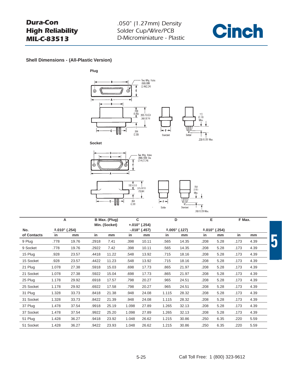

**Shell Dimensions - (All-Plastic Version)**













÷F.

Solder

|             |                     | A<br>B Max. (Plug) |       |               | C     |                 | D     | Е               |      | F Max.          |      |      |
|-------------|---------------------|--------------------|-------|---------------|-------|-----------------|-------|-----------------|------|-----------------|------|------|
|             |                     |                    |       | Min. (Socket) |       | $+.010" (.254)$ |       |                 |      |                 |      |      |
| No.         | $\pm .010$ " (.254) |                    |       |               |       | $-.018" (.457)$ |       | $±.005"$ (.127) |      | $±.010"$ (.254) |      |      |
| of Contacts | in                  | mm                 | in    | mm            | in    | mm              | in    | mm              | in   | mm              | in   | mm   |
| 9 Plug      | .778                | 19.76              | .2918 | 7.41          | .398  | 10.11           | .565  | 14.35           | .208 | 5.28            | .173 | 4.39 |
| 9 Socket    | .778                | 19.76              | .2922 | 7.42          | .398  | 10.11           | .565  | 14.35           | .208 | 5.28            | .173 | 4.39 |
| 15 Plug     | .928                | 23.57              | .4418 | 11.22         | .548  | 13.92           | .715  | 18.16           | .208 | 5.28            | .173 | 4.39 |
| 15 Socket   | .928                | 23.57              | .4422 | 11.23         | .548  | 13.92           | .715  | 18.16           | .208 | 5.28            | .173 | 4.39 |
| 21 Plug     | 1.078               | 27.38              | .5918 | 15.03         | .698  | 17.73           | .865  | 21.97           | .208 | 5.28            | .173 | 4.39 |
| 21 Socket   | 1.078               | 27.38              | .5922 | 15.04         | .698  | 17.73           | .865  | 21.97           | .208 | 5.28            | .173 | 4.39 |
| 25 Plug     | 1.178               | 29.92              | .6918 | 17.57         | .798  | 20.27           | .965  | 24.51           | .208 | 5.28            | .173 | 4.39 |
| 25 Socket   | 1.178               | 29.92              | .6922 | 17.58         | .798  | 20.27           | .965  | 24.51           | .208 | 5.28            | .173 | 4.39 |
| 31 Plug     | 1.328               | 33.73              | .8418 | 21.38         | .948  | 24.08           | 1.115 | 28.32           | .208 | 5.28            | .173 | 4.39 |
| 31 Socket   | 1.328               | 33.73              | .8422 | 21.39         | .948  | 24.08           | 1.115 | 28.32           | .208 | 5.28            | .173 | 4.39 |
| 37 Plug     | 1.478               | 37.54              | .9918 | 25.19         | 1.098 | 27.89           | 1.265 | 32.13           | .208 | 5.28            | .173 | 4.39 |
| 37 Socket   | 1.478               | 37.54              | .9922 | 25.20         | 1.098 | 27.89           | 1.265 | 32.13           | .208 | 5.28            | .173 | 4.39 |
| 51 Plug     | 1.428               | 36.27              | .9418 | 23.92         | 1.048 | 26.62           | 1.215 | 30.86           | .250 | 6.35            | .220 | 5.59 |
| 51 Socket   | 1.428               | 36.27              | .9422 | 23.93         | 1.048 | 26.62           | 1.215 | 30.86           | .250 | 6.35            | .220 | 5.59 |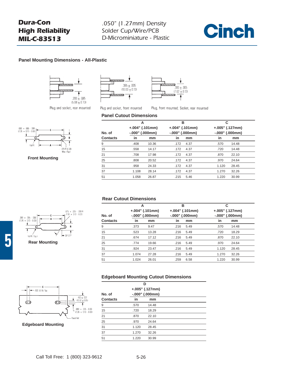

#### **Panel Mounting Dimensions - All-Plastic**



Plug and socket, rear mounted

 $.075 + .005 - .000 R$ <br> $.191 + .003 - .0001$ 



**Front Mounting**

| ,,,,,,,,, |                  |
|-----------|------------------|
|           | $.395 \pm .005$  |
|           | $(10.03 + 0.13)$ |
|           |                  |



Plug and socket, front mounted

Plug, front mounted; Socket, rear mounted

#### **Panel Cutout Dimensions**

| No. of   | А<br>$+.004" (.101mm)$<br>$-.000"$ $(.000mm)$ |       | в    | $+.004" (.101mm)$<br>$-.000"$ (.000mm) | С<br>$+.005" (.127mm)$<br>$-.000"$ (.000mm) |       |  |
|----------|-----------------------------------------------|-------|------|----------------------------------------|---------------------------------------------|-------|--|
| Contacts | in                                            | mm    | in   | mm                                     | in                                          | mm    |  |
| 9        | .408                                          | 10.36 | .172 | 4.37                                   | .570                                        | 14.48 |  |
| 15       | .558                                          | 14.17 | .172 | 4.37                                   | .720                                        | 14.48 |  |
| 21       | .708                                          | 17.98 | .172 | 4.37                                   | .870                                        | 22.10 |  |
| 25       | .808                                          | 20.52 | .172 | 4.37                                   | .970                                        | 24.64 |  |
| 31       | .958                                          | 24.33 | .172 | 4.37                                   | 1.120                                       | 28.45 |  |
| 37       | 1.108                                         | 28.14 | .172 | 4.37                                   | 1.270                                       | 32.26 |  |
| 51       | 1.058                                         | 26.87 | .215 | 5.46                                   | 1.220                                       | 30.99 |  |
|          |                                               |       |      |                                        |                                             |       |  |

#### **Rear Cutout Dimensions**

| No. of          |       | А<br>$+.004" (.101mm)$<br>$-.000"$ (.000mm) |      | в<br>$+.004" (.101mm)$<br>$-.000"$ (.000mm) | С<br>$+.005" (.127mm)$<br>$-.000"$ (.000mm) |       |  |
|-----------------|-------|---------------------------------------------|------|---------------------------------------------|---------------------------------------------|-------|--|
| <b>Contacts</b> | in    | mm                                          | in   | mm                                          | in                                          | mm    |  |
| 9               | .373  | 9.47                                        | .216 | 5.49                                        | .570                                        | 14.48 |  |
| 15              | .523  | 13.28                                       | .216 | 5.49                                        | .720                                        | 18.29 |  |
| 21              | .674  | 17.12                                       | .216 | 5.49                                        | .870                                        | 22.10 |  |
| 25              | .774  | 19.66                                       | .216 | 5.49                                        | .970                                        | 24.64 |  |
| 31              | .924  | 23.47                                       | .216 | 5.49                                        | 1.120                                       | 28.45 |  |
| 37              | 1.074 | 27.28                                       | .216 | 5.49                                        | 1.270                                       | 32.26 |  |
| 51              | 1.024 | 26.01                                       | .259 | 6.58                                        | 1.220                                       | 30.99 |  |

#### **Edgeboard Mounting Cutout Dimensions**



**Edgeboard Mounting**

**Rear Mounting**

 $.089 + .005 - .000$ <br>12.26 + 0.13 - 0.00

 $F \cup R$ : Typ.i

**5**

|                 |       | D                 |  |
|-----------------|-------|-------------------|--|
|                 |       | $+.005" (.127mm)$ |  |
| No. of          |       | $-.000"$ (.000mm) |  |
| <b>Contacts</b> | in    | mm                |  |
| 9               | .570  | 14.48             |  |
| 15              | .720  | 18.29             |  |
| 21              | .870  | 22.10             |  |
| 25              | .970  | 24.64             |  |
| 31              | 1.120 | 28.45             |  |
| 37              | 1.270 | 32.26             |  |
| 51              | 1.220 | 30.99             |  |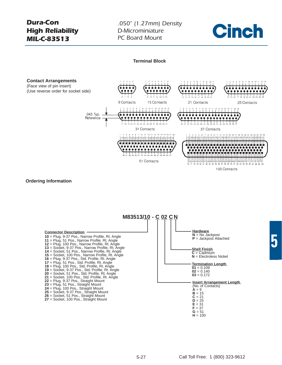*.050" (1.27mm) Density D-Microminiature PC Board Mount*



#### **Terminal Block**

#### <span id="page-25-0"></span>**Contact Arrangements**

(Face view of pin insert) (Use reverse order for socket side)



100 Contacts

#### **Ordering Information**

**M83513/10 - C 02 CN Connector Description 10** = Plug, 9-37 Pos., Narrow Profile, Rt. Angle **11** = Plug, 51 Pos., Narrow Profile, Rt. Angle **12** = Plug, 100 Pos., Narrow Profile, Rt. Angle **13** = Socket, 9-37 Pos., Narrow Profile, Rt. Angle **14** = Socket, 51 Pos., Narrow Profile, Rt. Angle **15** = Socket, 100 Pos., Narrow Profile, Rt. Angle **16** = Plug, 9-37 Pos., Std. Profile, Rt. Angle **17** = Plug, 51 Pos., Std. Profile, Rt. Angle **18** = Plug, 100 Pos., Std. Profile, Rt. Angle **19** = Socket, 9-37 Pos., Std. Profile, Rt. Angle **20** = Socket, 51 Pos., Std. Profile, Rt. Angle **21** = Socket, 100 Pos., Std. Profile, Rt. Angle **22** = Plug, 9-37 Pos., Straight Mount **23** = Plug, 51 Pos., Straight Mount **24** = Plug, 100 Pos., Straight Mount **25** = Socket, 9-37 Pos., Straight Mount **26** = Socket, 51 Pos., Straight Mount **27** = Socket, 100 Pos., Straight Mount **Hardware**  $N = No$  Jackpost **P** = Jackpost Attached **Shell Finish C** = Cadmium **N** = Electroless Nickel **Termination Length**   $01 = 0.109$  $02 = 0.140$  $03 = 0.172$ **Insert Arrangement Length** (No. of Contacts)  $A = 9$  $$  $C = 21$  $D = 25$  $E = 31$  $F = 37$ 

 $G = 51$ **H** = 100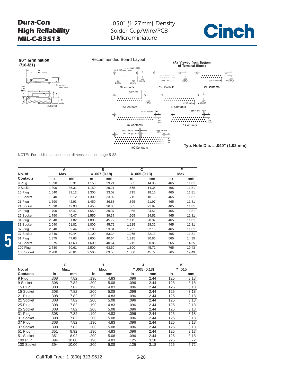





NOTE: For additional connector dimensions, see page 5-22.

|                 |       | A     |       | в            |       | C            |      | F     |
|-----------------|-------|-------|-------|--------------|-------|--------------|------|-------|
| No. of          |       | Max.  |       | ± .007(0.18) |       | ± .005(0.13) |      | Max.  |
| <b>Contacts</b> | in    | mm    | in    | mm           | in    | mm           | in   | mm    |
| 9 Plug          | 1.390 | 35.31 | 1.150 | 29.21        | .565  | 14.35        | .465 | 11.81 |
| 9 Socket        | 1.390 | 35.31 | 1.150 | 29.21        | .565  | 14.35        | .465 | 11.81 |
| 15 Plug         | 1.540 | 39.12 | 1.300 | 33.02        | .715  | 18.16        | .465 | 11.81 |
| 15 Socket       | 1.540 | 39.12 | 1.300 | 33.02        | .715  | 18.16        | .465 | 11.81 |
| 21 Plug         | 1.690 | 42.93 | 1.450 | 36.83        | .865  | 21.97        | .465 | 11.81 |
| 21 Socket       | 1.690 | 42.93 | 1.450 | 36.83        | .865  | 21.97        | .465 | 11.81 |
| 25 Plug         | 1.790 | 45.47 | 1.550 | 39.37        | .965  | 24.51        | .465 | 11.81 |
| 25 Socket       | 1.790 | 45.47 | 1.550 | 39.37        | .965  | 24.51        | .465 | 11.81 |
| 31 Plug         | 2.040 | 51.82 | 1.800 | 45.72        | 1.115 | 28.32        | .465 | 11.81 |
| 31 Socket       | 2.040 | 51.82 | 1.800 | 45.72        | 1.115 | 28.32        | .465 | 11.81 |
| 37 Plug         | 2.340 | 59.44 | 2.100 | 53.34        | 1.265 | 32.13        | .465 | 11.81 |
| 37 Socket       | 2.340 | 59.44 | 2.100 | 53.34        | 1.265 | 32.13        | .465 | 11.81 |
| 51 Plug         | 1.875 | 47.63 | 1.600 | 40.64        | 1.215 | 30.86        | .565 | 14.35 |
| 51 Socket       | 1.875 | 47.63 | 1.600 | 40.64        | 1.215 | 30.86        | .565 | 14.35 |
| 100 Plug        | 2.780 | 70.61 | 2.500 | 63.50        | 1.800 | 45.72        | .765 | 19.43 |
| 100 Socket      | 2.780 | 70.61 | 2.500 | 63.50        | 1.800 | 45.72        | .765 | 19.43 |

|            |      | G     |      | н    |      | J                |      | $\overline{\mathsf{K}}$ |
|------------|------|-------|------|------|------|------------------|------|-------------------------|
| No. of     |      | Max.  |      | Max. |      | $\pm .005(0.13)$ |      | ±.015                   |
| Contacts   | in   | mm    | in   | mm   | in   | mm               | in   | mm                      |
| 9 Plug     | .308 | 7.82  | .190 | 4.83 | .096 | 2.44             | .125 | 3.18                    |
| 9 Socket   | .308 | 7.82  | .200 | 5.08 | .096 | 2.44             | .125 | 3.18                    |
| 15 Plug    | .308 | 7.82  | .190 | 4.83 | .096 | 2.44             | .125 | 3.18                    |
| 15 Socket  | .308 | 7.82  | .200 | 5.08 | .096 | 2.44             | .125 | 3.18                    |
| 21 Plug    | .308 | 7.82  | .190 | 4.83 | .096 | 2.44             | .125 | 3.18                    |
| 21 Socket  | .308 | 7.82  | .200 | 5.08 | .096 | 2.44             | .125 | 3.18                    |
| 25 Plug    | .308 | 7.82  | .190 | 4.83 | .096 | 2.44             | .125 | 3.18                    |
| 25 Socket  | .308 | 7.82  | .200 | 5.08 | .096 | 2.44             | .125 | 3.18                    |
| 31 Plug    | .308 | 7.82  | .190 | 4.83 | .096 | 2.44             | .125 | 3.18                    |
| 31 Socket  | .308 | 7.82  | .200 | 5.08 | .096 | 2.44             | .125 | 3.18                    |
| 37 Plug    | .308 | 7.82  | .190 | 4.83 | .096 | 2.44             | .125 | 3.18                    |
| 37 Socket  | .308 | 7.82  | .200 | 5.08 | .096 | 2.44             | .125 | 3.18                    |
| 51 Plug    | .351 | 8.92  | .190 | 4.83 | .096 | 2.44             | .125 | 3.18                    |
| 51 Socket  | .351 | 8.92  | .200 | 5.08 | .096 | 2.44             | .125 | 3.18                    |
| 100 Plug   | .394 | 10.00 | .190 | 4.83 | .125 | 3.18             | .225 | 5.72                    |
| 100 Socket | .394 | 10.00 | .200 | 5.08 | .125 | 3.18             | .225 | 5.72                    |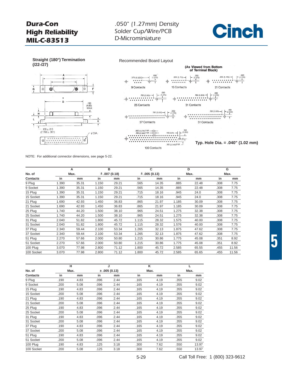**(/22-/27)**

### *.050" (1.27mm) Density Solder Cup/Wire/PCB D-Microminiature*



 $B$ c ှင့် Ò  $\overset{+}{\oplus}$  $\dot{ }$  $|\dot{\mathbb{e}}|$ D  $(4.83)$ <br>MAX. ±  $\Box$  $\mathsf{I}$  $-109 \pm 015$ <br>(2.769 ± .381) **JDIA** ∣୶  $\circ$ 





NOTE: For additional connector dimensions, see page 5-22.

|                 |       | A     |       | в             |       | C           |       | D     |      | G     |
|-----------------|-------|-------|-------|---------------|-------|-------------|-------|-------|------|-------|
| No. of          |       | Max.  |       | ± .007 (0.18) |       | ±.005(0.13) |       | Max.  |      | Max.  |
| <b>Contacts</b> | in    | mm    | in    | mm            | in    | mm          | in    | mm    | in   | mm    |
| 9 Plug          | 1.390 | 35.31 | 1.150 | 29.21         | .565  | 14.35       | .885  | 22.48 | .308 | 7.75  |
| 9 Socket        | 1.390 | 35.31 | 1.150 | 29.21         | .565  | 14.35       | .885  | 22.48 | .308 | 7.75  |
| 15 Plug         | 1.390 | 35.31 | 1.150 | 29.21         | .715  | 18.16       | .945  | 24.0  | .308 | 7.75  |
| 15 Socket       | 1.390 | 35.31 | 1.150 | 29.21         | .715  | 18.16       | .945  | 24.0  | .308 | 7.75  |
| 21 Plug         | 1.690 | 42.93 | 1.450 | 36.83         | .865  | 21.97       | 1.185 | 30.09 | .308 | 7.75  |
| 21 Socket       | 1.690 | 42.93 | 1.450 | 36.83         | .865  | 21.97       | 1.185 | 30.09 | .308 | 7.75  |
| 25 Plug         | 1.740 | 44.20 | 1.500 | 38.10         | .965  | 24.51       | 1.275 | 32.38 | .308 | 7.75  |
| 25 Socket       | 1.740 | 44.20 | 1.500 | 38.10         | .965  | 24.51       | 1.275 | 32.38 | .308 | 7.75  |
| 31 Plug         | 2.040 | 51.82 | 1.800 | 45.72         | 1.115 | 28.32       | 1.575 | 40.00 | .308 | 7.75  |
| 31 Socket       | 2.040 | 51.82 | 1.800 | 45.72         | 1.115 | 28.32       | 1.576 | 40.00 | .308 | 7.75  |
| 37 Plug         | 2.340 | 59.44 | 2.100 | 53.34         | 1.265 | 32.13       | 1.875 | 47.62 | .308 | 7.75  |
| 37 Socket       | 2.340 | 59.44 | 2.100 | 53.34         | 1.265 | 32.13       | 1.875 | 47.62 | .308 | 7.75  |
| 51 Plug         | 2.270 | 57.66 | 2.000 | 50.80         | 1.215 | 30.86       | 1.775 | 45.08 | .351 | 8.92  |
| 51 Socket       | 2.270 | 57.66 | 2.000 | 50.80         | 1.215 | 30.86       | 1.775 | 45.08 | .351 | 8.92  |
| 100 Plug        | 3.070 | 77.98 | 2.800 | 71.12         | 1.800 | 45.72       | 2.585 | 65.55 | .455 | 11.56 |
| 100 Socket      | 3.070 | 77.98 | 2.800 | 71.12         | 1.800 | 45.72       | 2.585 | 65.65 | .455 | 11.56 |

|                 |      | н    |      | J            | κ    |      |      | L     |
|-----------------|------|------|------|--------------|------|------|------|-------|
| No. of          |      | Max. |      | ± .005(0.13) |      | Max. |      | Max.  |
| <b>Contacts</b> | in   | mm   | in   | mm           | in   | mm   | in   | mm    |
| 9 Plug          | .190 | 4.83 | .096 | 2.44         | .165 | 4.19 | .355 | 9.02  |
| 9 Socket        | .200 | 5.08 | .096 | 2.44         | .165 | 4.19 | .355 | 9.02  |
| 15 Plug         | .190 | 4.83 | .096 | 2.44         | .165 | 4.19 | .355 | 9.02  |
| 15 Socket       | .200 | 5.08 | .096 | 2.44         | .165 | 4.19 | .355 | 9.02  |
| 21 Plug         | .190 | 4.83 | .096 | 2.44         | .165 | 4.19 | .355 | 9.02  |
| 21 Socket       | .200 | 5.08 | .096 | 2.44         | .165 | 4.19 | .355 | 9.02  |
| 25 Plug         | .190 | 4.83 | .096 | 2.44         | .165 | 4.19 | .355 | 9.02  |
| 25 Socket       | .200 | 5.08 | .096 | 2.44         | .165 | 4.19 | .355 | 9.02  |
| 31 Plug         | .190 | 4.83 | .096 | 2.44         | .165 | 4.19 | .355 | 9.02  |
| 31 Socket       | .200 | 5.08 | .096 | 2.44         | .165 | 4.19 | .355 | 9.02  |
| 37 Plug         | .190 | 4.83 | .096 | 2.44         | .165 | 4.19 | .355 | 9.02  |
| 37 Socket       | .200 | 5.08 | .096 | 2.44         | .165 | 4.19 | .355 | 9.02  |
| 51 Plug         | .190 | 4.83 | .096 | 2.44         | .165 | 4.19 | .355 | 9.02  |
| 51 Socket       | .200 | 5.08 | .096 | 2.44         | .165 | 4.19 | .355 | 9.02  |
| 100 Plug        | .190 | 4.83 | .125 | 3.18         | .300 | 7.62 | .550 | 13.97 |
| 100 Socket      | .200 | 5.08 | .125 | 3.18         | .300 | 7.62 | .550 | 13.97 |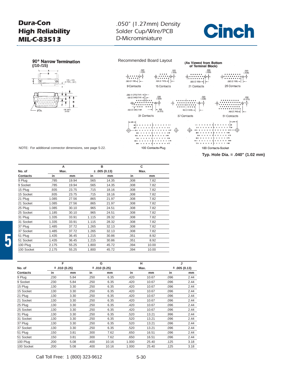## *.050" (1.27mm) Density Solder Cup/Wire/PCB D-Microminiature*

# **Cinch**





NOTE: For additional connector dimensions, see page 5-22.

|                |       | A     |       | в            |      | c     |  |
|----------------|-------|-------|-------|--------------|------|-------|--|
| No. of<br>Max. |       |       |       | ± .005(0.13) |      | Max.  |  |
| Contacts       | in    | mm    | in    | mm           | in   | mm    |  |
| 9 Plug         | .785  | 19.94 | .565  | 14.35        | .308 | 7.82  |  |
| 9 Socket       | .785  | 19.94 | .565  | 14.35        | .308 | 7.82  |  |
| 15 Plua        | .935  | 23.75 | .715  | 18.16        | .308 | 7.82  |  |
| 15 Socket      | .935  | 23.75 | .715  | 18.16        | .308 | 7.82  |  |
| 21 Plug        | 1.085 | 27.56 | .865  | 21.97        | .308 | 7.82  |  |
| 21 Socket      | 1.085 | 27.56 | .865  | 21.97        | .308 | 7.82  |  |
| 25 Plug        | 1.085 | 30.10 | .965  | 24.51        | .308 | 7.82  |  |
| 25 Socket      | 1.185 | 30.10 | .965  | 24.51        | .308 | 7.82  |  |
| 31 Plug        | 1.335 | 33.91 | 1.115 | 28.32        | .308 | 7.82  |  |
| 31 Socket      | 1.335 | 33.91 | 1.115 | 28.32        | .308 | 7.82  |  |
| 37 Plug        | 1.485 | 37.72 | 1.265 | 32.13        | .308 | 7.82  |  |
| 37 Socket      | 1.485 | 37.72 | 1.265 | 32.13        | .308 | 7.82  |  |
| 51 Plua        | 1.435 | 36.45 | 1.215 | 30.86        | .351 | 8.92  |  |
| 51 Socket      | 1.435 | 36.45 | 1.215 | 30.86        | .351 | 8.92  |  |
| 100 Plug       | 2.175 | 55.25 | 1.800 | 45.72        | .394 | 10.00 |  |
| 100 Socket     | 2.175 | 55.25 | 1.800 | 45.72        | .394 | 10.00 |  |

|            | F    |                   |      | G                 |       | н     |      | J                 |
|------------|------|-------------------|------|-------------------|-------|-------|------|-------------------|
| No. of     |      | $\pm$ .010 (0.25) |      | $\pm$ .010 (0.25) |       | Max.  |      | $\pm$ .005 (0.13) |
| Contacts   | in   | mm                | in   | mm                | in    | mm    | in   | mm                |
| 9 Plug     | .230 | 5.84              | .250 | 6.35              | .420  | 10.67 | .096 | 2.44              |
| 9 Socket   | .230 | 5.84              | .250 | 6.35              | .420  | 10.67 | .096 | 2.44              |
| 15 Plug    | .130 | 3.30              | .250 | 6.35              | .420  | 10.67 | .096 | 2.44              |
| 15 Socket  | .130 | 3.30              | .250 | 6.35              | .420  | 10.67 | .096 | 2.44              |
| 21 Plug    | .130 | 3.30              | .250 | 6.35              | .420  | 10.67 | .096 | 2.44              |
| 21 Socket  | .130 | 3.30              | .250 | 6.35              | .420  | 10.67 | .096 | 2.44              |
| 25 Plug    | .130 | 3.30              | .250 | 6.35              | .420  | 10.67 | .096 | 2.44              |
| 25 Socket  | .130 | 3.30              | .250 | 6.35              | .420  | 10.67 | .096 | 2.44              |
| 31 Plug    | .130 | 3.30              | .250 | 6.35              | .520  | 13.21 | .996 | 2.44              |
| 31 Socket  | .130 | 3.30              | .250 | 6.35              | .520  | 13.21 | .096 | 2.44              |
| 37 Plug    | .130 | 3.30              | .250 | 6.35              | .520  | 13.21 | .096 | 2.44              |
| 37 Socket  | .130 | 3.30              | .250 | 6.35              | .520  | 13.21 | .096 | 2.44              |
| 51 Plug    | .150 | 3.81              | .300 | 7.62              | .650  | 16.51 | .096 | 2.44              |
| 51 Socket  | .150 | 3.81              | .300 | 7.62              | .650  | 16.51 | .096 | 2.44              |
| 100 Plug   | .200 | 5.08              | .400 | 10.16             | 1.000 | 25.40 | .125 | 3.18              |
| 100 Socket | .200 | 5.08              | .400 | 10.16             | 1.000 | 25.40 | .125 | 3.18              |

**Typ. Hole Dia. = .040" (1.02 mm)**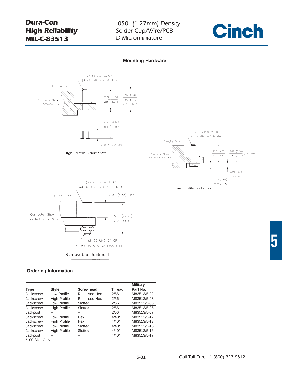## *.050" (1.27mm) Density Solder Cup/Wire/PCB D-Microminiature*



#### **Mounting Hardware**



Removable Jackpost

#### **Ordering Information**

|                 |                     |                  |               | <b>Military</b> |
|-----------------|---------------------|------------------|---------------|-----------------|
| <b>Type</b>     | <b>Style</b>        | <b>Screwhead</b> | <b>Thread</b> | Part No.        |
| Jackscrew       | Low Profile         | Recessed Hex     | 2/56          | M83513/5-02     |
| Jackscrew       | <b>High Profile</b> | Recessed Hex     | 2/56          | M83513/5-03     |
| Jackscrew       | Low Profile         | Slotted          | 2/56          | M83513/5-05     |
| Jackscrew       | <b>High Profile</b> | Slotted          | 2/56          | M83513/5-06     |
| <b>Jackpost</b> |                     |                  | 2/56          | M83513/5-07     |
| Jackscrew       | Low Profile         | Hex              | $4/40*$       | M83513/5-12     |
| Jackscrew       | <b>High Profile</b> | Hex              | $4/40*$       | M83513/5-13     |
| Jackscrew       | Low Profile         | Slotted          | $4/40*$       | M83513/5-15     |
| Jackscrew       | <b>High Profile</b> | Slotted          | $4/40*$       | M83513/5-16     |
| <b>Jackpost</b> |                     |                  | $4/40*$       | M83513/5-17     |

\*100 Size Only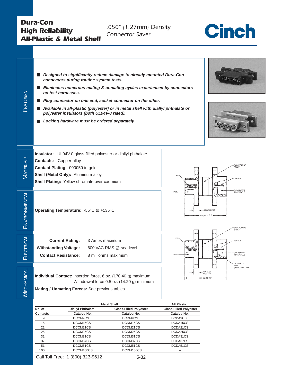## *Dura-Con High Reliability All-Plastic & Metal Shell*

*.050" (1.27mm) Density Connector Saver*



| Designed to significantly reduce damage to already mounted Dura-Con<br>ш<br>connectors during routine system tests.<br>Eliminates numerous mating & unmating cycles experienced by connectors<br>ш<br><b>FEATURES</b><br>on test harnesses.<br>Plug connector on one end, socket connector on the other.<br>Available in all-plastic (polyester) or in metal shell with diallyl phthalate or<br>$\blacksquare$<br>polyester insulators (both UL94V-0 rated).<br>Locking hardware must be ordered separately.<br>Insulator: UL94V-0 glass-filled polyester or diallyl phthalate<br>MATERIALS<br><b>Contacts:</b> Copper alloy<br>BACKPOTTING<br>Contact Plating: .000050 in gold<br>Shell (Metal Only): Aluminum alloy<br>PIN<br>SOCKET<br>Shell Plating: Yellow chromate over cadmium<br>CONNECTOR<br>RECEPTACLE<br>PLUG<br>ENVIRONMENTAL<br>Operating Temperature: - 55°C to +135°C<br>.094 (2.39) REF<br>820 (20.83) REF<br><b>BACKPOTTING</b><br>FPOXY<br>ELECTRICAL<br><b>Current Rating:</b><br>3 Amps maximum<br>SOCKET<br><b>Withstanding Voltage:</b><br>600 VAC RMS @ sea level<br>CONNECTOR<br><b>Contact Resistance:</b><br>8 milliohms maximum<br>PLUG<br>RECEPTACLE<br>- INTERFACIAL<br>SEAL<br>(METAL SHELL ONLY)<br>MECHANICAL<br>.09C (2.29)<br>REF. TYP<br>Individual Contact: Insertion force, 6 oz. (170.40 g) maximum;<br>.900 (22.86) REF.<br>Withdrawal force 0.5 oz. (14.20 g) minimum<br>Mating / Unmating Forces: See previous tables<br><b>Metal Shell</b><br><b>All Plastic</b><br><b>Diallyl Phthalate</b><br><b>Glass-Filled Polyester</b><br>No. of<br><b>Glass-Filled Polyester</b> |
|--------------------------------------------------------------------------------------------------------------------------------------------------------------------------------------------------------------------------------------------------------------------------------------------------------------------------------------------------------------------------------------------------------------------------------------------------------------------------------------------------------------------------------------------------------------------------------------------------------------------------------------------------------------------------------------------------------------------------------------------------------------------------------------------------------------------------------------------------------------------------------------------------------------------------------------------------------------------------------------------------------------------------------------------------------------------------------------------------------------------------------------------------------------------------------------------------------------------------------------------------------------------------------------------------------------------------------------------------------------------------------------------------------------------------------------------------------------------------------------------------------------------------------------------------------------------------------------------------------------------|
|                                                                                                                                                                                                                                                                                                                                                                                                                                                                                                                                                                                                                                                                                                                                                                                                                                                                                                                                                                                                                                                                                                                                                                                                                                                                                                                                                                                                                                                                                                                                                                                                                    |
|                                                                                                                                                                                                                                                                                                                                                                                                                                                                                                                                                                                                                                                                                                                                                                                                                                                                                                                                                                                                                                                                                                                                                                                                                                                                                                                                                                                                                                                                                                                                                                                                                    |
|                                                                                                                                                                                                                                                                                                                                                                                                                                                                                                                                                                                                                                                                                                                                                                                                                                                                                                                                                                                                                                                                                                                                                                                                                                                                                                                                                                                                                                                                                                                                                                                                                    |
|                                                                                                                                                                                                                                                                                                                                                                                                                                                                                                                                                                                                                                                                                                                                                                                                                                                                                                                                                                                                                                                                                                                                                                                                                                                                                                                                                                                                                                                                                                                                                                                                                    |
|                                                                                                                                                                                                                                                                                                                                                                                                                                                                                                                                                                                                                                                                                                                                                                                                                                                                                                                                                                                                                                                                                                                                                                                                                                                                                                                                                                                                                                                                                                                                                                                                                    |
|                                                                                                                                                                                                                                                                                                                                                                                                                                                                                                                                                                                                                                                                                                                                                                                                                                                                                                                                                                                                                                                                                                                                                                                                                                                                                                                                                                                                                                                                                                                                                                                                                    |

|          |                          | ווטווט ושיטווי                | AIL LIUSTIN                   |
|----------|--------------------------|-------------------------------|-------------------------------|
| No. of   | <b>Diallyl Phthalate</b> | <b>Glass-Filled Polyester</b> | <b>Glass-Filled Polyester</b> |
| Contacts | Catalog No.              | Catalog No.                   | Catalog No.                   |
| 9        | DCCM9CS                  | DCDM9CS                       | DCDA9CS                       |
| 15       | DCCM15CS                 | DCDM15CS                      | DCDA15CS                      |
| 21       | DCCM21CS                 | DCDM21CS                      | DCDA21CS                      |
| 25       | DCCM25CS                 | DCDM25CS                      | DCDA25CS                      |
| 31       | DCCM31CS                 | DCDM31CS                      | DCDA31CS                      |
| 37       | DCCM37CS                 | DCDM37CS                      | DCDA37CS                      |
| 51       | DCCM51CS                 | DCDM51CS                      | DCDA51CS                      |
| 100      | DCCM100CS                | DCDM100CS                     |                               |
|          |                          |                               |                               |

Call Toll Free: 1 (800) 323-9612 5-32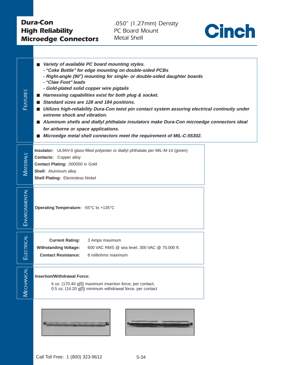## <span id="page-31-0"></span>*Dura-Con High Reliability Microedge Connectors*

*.050" (1.27mm) Density PC Board Mount Metal Shell*



| FEATURES      | ■ Variety of available PC board mounting styles.<br>- "Coke Bottle" for edge mounting on double-sided PCBs<br>- Right-angle (90°) mounting for single- or double-sided daughter boards<br>- "Claw Foot" leads<br>- Gold-plated solid copper wire pigtails<br>■ Harnessing capabilities exist for both plug & socket.<br>Standard sizes are 128 and 184 positions.<br>Utilizes high-reliability Dura-Con twist pin contact system assuring electrical continuity under<br>extreme shock and vibration.<br>Aluminum shells and diallyl phthalate insulators make Dura-Con microedge connectors ideal<br>for airborne or space applications.<br>Microedge metal shell connectors meet the requirement of MIL-C-55302. |
|---------------|--------------------------------------------------------------------------------------------------------------------------------------------------------------------------------------------------------------------------------------------------------------------------------------------------------------------------------------------------------------------------------------------------------------------------------------------------------------------------------------------------------------------------------------------------------------------------------------------------------------------------------------------------------------------------------------------------------------------|
| MATERIALS     | Insulator: UL94V-0 glass-filled polyester or diallyl phthalate per MIL-M-14 (green)<br><b>Contacts:</b> Copper alloy<br>Contact Plating: .000050 in Gold<br>Shell: Aluminum alloy<br><b>Shell Plating: Electroless Nickel</b>                                                                                                                                                                                                                                                                                                                                                                                                                                                                                      |
| ENVIRONMENTAL | Operating Temperature: - 55°C to +135°C                                                                                                                                                                                                                                                                                                                                                                                                                                                                                                                                                                                                                                                                            |
| ELECTRICAL    | <b>Current Rating:</b><br>3 Amps maximum<br><b>Withstanding Voltage:</b><br>600 VAC RMS @ sea level, 300 VAC @ 70,000 ft.<br><b>Contact Resistance:</b><br>8 milliohms maximum                                                                                                                                                                                                                                                                                                                                                                                                                                                                                                                                     |
| MECHANICAL    | <b>Insertion/Withdrawal Force:</b><br>6 oz. (170.40 g[f]) maximum insertion force, per contact;<br>0.5 oz. (14.20 g[f]) minimum withdrawal force, per contact                                                                                                                                                                                                                                                                                                                                                                                                                                                                                                                                                      |
|               |                                                                                                                                                                                                                                                                                                                                                                                                                                                                                                                                                                                                                                                                                                                    |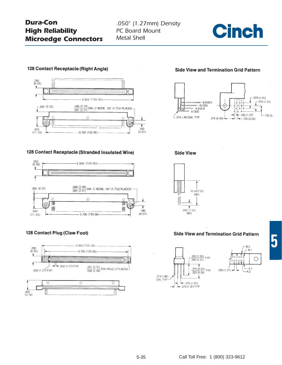## *Dura-Con High Reliability Microedge Connectors*

*.050" (1.27mm) Density PC Board Mount Metal Shell*



### 128 Contact Receptacle (Right Angle)



#### 128 Contact Receptacle (Stranded Insulated Wire)



### 128 Contact Plug (Claw Foot)



### **Side View and Termination Grid Pattern**



**Side View** 



### **Side View and Termination Grid Pattern**





**5**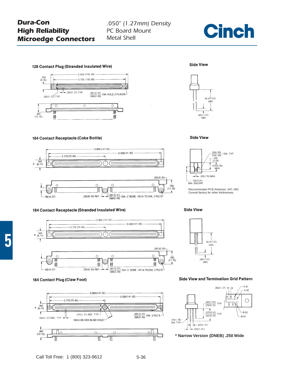## *Dura-Con High Reliability Microedge Connectors*

## *.050" (1.27mm) Density PC Board Mount Metal Shell*



#### 128 Contact Plug (Stranded Insulated Wire)

184 Contact Receptacle (Coke Bottle)







#### 184 Contact Receptacle (Stranded Insulated Wire)





#### **Side View and Termination Grid Pattern**

A 91





#### **Side View**

184 Contact Plug (Claw Foot)

Ŧ

 $\overline{\mathbf{r}}$ 

**Side View** 

**Side View**  $\frac{.026(.66)}{.019/.48}$  DIA. TYP.  $\frac{.028(.00)}{.019(.48)}$ <br> $\frac{.200}{(5.08)}$ 

 $.275(6.99)$  $MAX$  $-030(.76)$  MAX

 $.150(3.81)$ MIN. SOLDER

Recommended PCB thickness .047-.062. Consult factory for other thicknesses.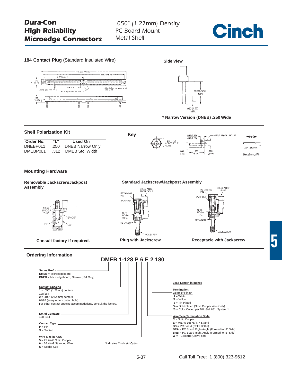*.050" (1.27mm) Density PC Board Mount Metal Shell*





**5** = 25 AWG Solid Copper **6** = 26 AWG Stranded Wire

**S** = Solder Cup

\*Indicates Cinch std Option

Call Toll Free: 1 (800) 323-9612

5-37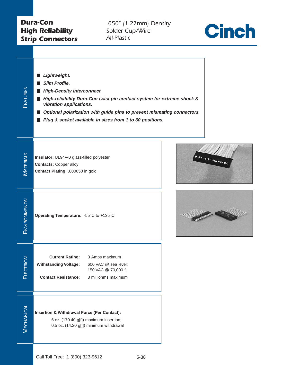## <span id="page-35-0"></span>*Dura-Con High Reliability Strip Connectors*

*.050" (1.27mm) Density Solder Cup/Wire All-Plastic*



| FEATURES              | Lightweight.<br>Slim Profile.<br><b>High-Density Interconnect.</b><br>High-reliability Dura-Con twist pin contact system for extreme shock &<br>vibration applications.<br>Optional polarization with guide pins to prevent mismating connectors.<br>Plug & socket available in sizes from 1 to 60 positions. |                 |
|-----------------------|---------------------------------------------------------------------------------------------------------------------------------------------------------------------------------------------------------------------------------------------------------------------------------------------------------------|-----------------|
| MATERIALS             | Insulator: UL94V-0 glass-filled polyester<br><b>Contacts: Copper alloy</b><br>Contact Plating: .000050 in gold                                                                                                                                                                                                | 0.81-29885-18.0 |
| ENVIRONMENTAL         | Operating Temperature: - 55°C to +135°C                                                                                                                                                                                                                                                                       |                 |
| <b>RICAL</b><br>ELECT | <b>Current Rating:</b><br>3 Amps maximum<br><b>Withstanding Voltage:</b><br>600 VAC @ sea level;<br>150 VAC @ 70,000 ft.<br><b>Contact Resistance:</b><br>8 milliohms maximum                                                                                                                                 |                 |
| <b>MECHANICAL</b>     | <b>Insertion &amp; Withdrawal Force (Per Contact):</b><br>6 oz. (170.40 g[f]) maximum insertion;<br>0.5 oz. (14.20 g[f]) minimum withdrawal                                                                                                                                                                   |                 |